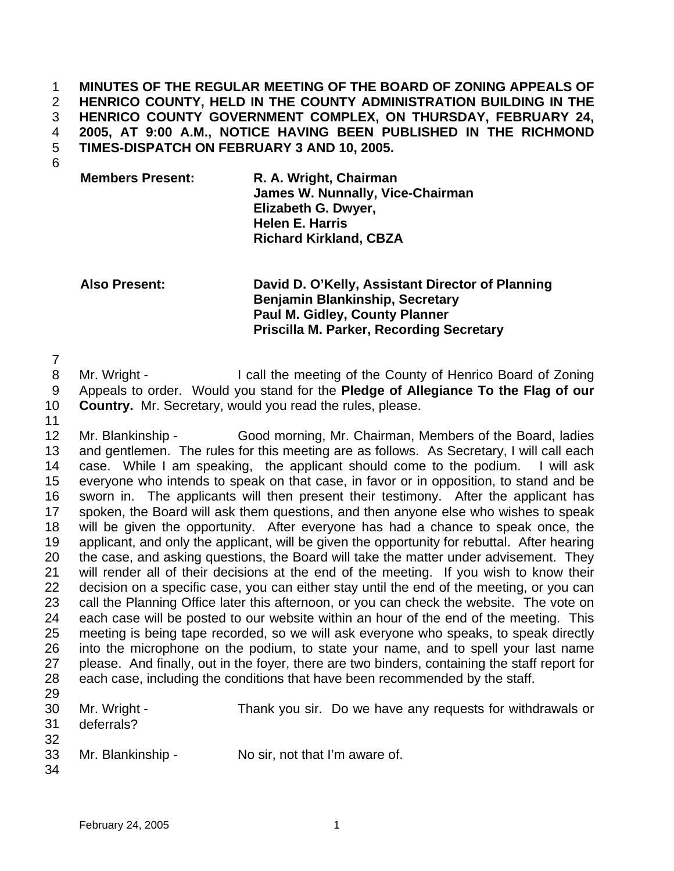**MINUTES OF THE REGULAR MEETING OF THE BOARD OF ZONING APPEALS OF HENRICO COUNTY, HELD IN THE COUNTY ADMINISTRATION BUILDING IN THE HENRICO COUNTY GOVERNMENT COMPLEX, ON THURSDAY, FEBRUARY 24, 2005, AT 9:00 A.M., NOTICE HAVING BEEN PUBLISHED IN THE RICHMOND TIMES-DISPATCH ON FEBRUARY 3 AND 10, 2005.**  1 2 3 4 5

6

**Members Present: R. A. Wright, Chairman James W. Nunnally, Vice-Chairman Elizabeth G. Dwyer, Helen E. Harris Richard Kirkland, CBZA** 

**Also Present: David D. O'Kelly, Assistant Director of Planning Benjamin Blankinship, Secretary Paul M. Gidley, County Planner Priscilla M. Parker, Recording Secretary** 

7

8 9 Mr. Wright - I call the meeting of the County of Henrico Board of Zoning Appeals to order. Would you stand for the **Pledge of Allegiance To the Flag of our** 

- 10 **Country.** Mr. Secretary, would you read the rules, please.
- 11

12 13 14 15 16 17 18 19 20 21 22 23 24 25 26 27 28 29 Mr. Blankinship - Good morning, Mr. Chairman, Members of the Board, ladies and gentlemen. The rules for this meeting are as follows. As Secretary, I will call each case. While I am speaking, the applicant should come to the podium. I will ask everyone who intends to speak on that case, in favor or in opposition, to stand and be sworn in. The applicants will then present their testimony. After the applicant has spoken, the Board will ask them questions, and then anyone else who wishes to speak will be given the opportunity. After everyone has had a chance to speak once, the applicant, and only the applicant, will be given the opportunity for rebuttal. After hearing the case, and asking questions, the Board will take the matter under advisement. They will render all of their decisions at the end of the meeting. If you wish to know their decision on a specific case, you can either stay until the end of the meeting, or you can call the Planning Office later this afternoon, or you can check the website. The vote on each case will be posted to our website within an hour of the end of the meeting. This meeting is being tape recorded, so we will ask everyone who speaks, to speak directly into the microphone on the podium, to state your name, and to spell your last name please. And finally, out in the foyer, there are two binders, containing the staff report for each case, including the conditions that have been recommended by the staff.

| 30 <sup>°</sup><br>31 | Mr. Wright -<br>deferrals? |                                | Thank you sir. Do we have any requests for withdrawals or |  |
|-----------------------|----------------------------|--------------------------------|-----------------------------------------------------------|--|
| 32<br>33<br>34        | Mr. Blankinship -          | No sir, not that I'm aware of. |                                                           |  |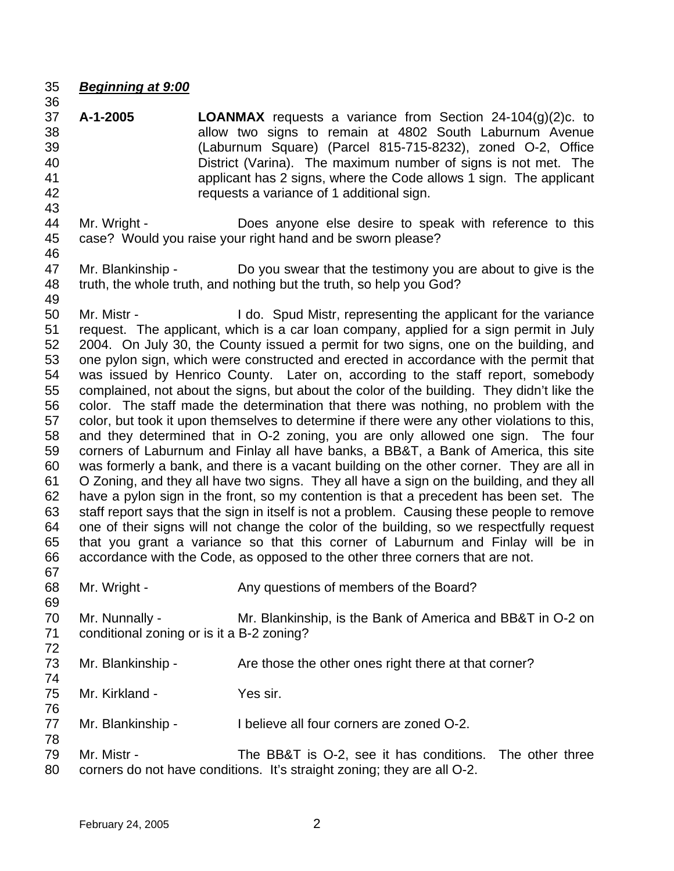- 35 *Beginning at 9:00*
- 37 38 39 40 41 42 43 **A-1-2005 LOANMAX** requests a variance from Section 24-104(g)(2)c. to allow two signs to remain at 4802 South Laburnum Avenue (Laburnum Square) (Parcel 815-715-8232), zoned O-2, Office District (Varina). The maximum number of signs is not met. The applicant has 2 signs, where the Code allows 1 sign. The applicant requests a variance of 1 additional sign.
- 44 45 Mr. Wright - **Does anyone else desire to speak with reference to this** case? Would you raise your right hand and be sworn please?
- 47 48 Mr. Blankinship - Do you swear that the testimony you are about to give is the truth, the whole truth, and nothing but the truth, so help you God?
- 49

78

46

36

50 51 52 53 54 55 56 57 58 59 60 61 62 63 64 65 66 67 Mr. Mistr - I do. Spud Mistr, representing the applicant for the variance request. The applicant, which is a car loan company, applied for a sign permit in July 2004. On July 30, the County issued a permit for two signs, one on the building, and one pylon sign, which were constructed and erected in accordance with the permit that was issued by Henrico County. Later on, according to the staff report, somebody complained, not about the signs, but about the color of the building. They didn't like the color. The staff made the determination that there was nothing, no problem with the color, but took it upon themselves to determine if there were any other violations to this, and they determined that in O-2 zoning, you are only allowed one sign. The four corners of Laburnum and Finlay all have banks, a BB&T, a Bank of America, this site was formerly a bank, and there is a vacant building on the other corner. They are all in O Zoning, and they all have two signs. They all have a sign on the building, and they all have a pylon sign in the front, so my contention is that a precedent has been set. The staff report says that the sign in itself is not a problem. Causing these people to remove one of their signs will not change the color of the building, so we respectfully request that you grant a variance so that this corner of Laburnum and Finlay will be in accordance with the Code, as opposed to the other three corners that are not.

- 68 69 Mr. Wright - Any questions of members of the Board?
- 70 71 72 Mr. Nunnally - Mr. Blankinship, is the Bank of America and BB&T in O-2 on conditional zoning or is it a B-2 zoning?
- 73 74 Mr. Blankinship - Are those the other ones right there at that corner?
- 75 76 Mr. Kirkland - Yes sir.
- 77 Mr. Blankinship - I believe all four corners are zoned O-2.
- 79 80 Mr. Mistr - The BB&T is O-2, see it has conditions. The other three corners do not have conditions. It's straight zoning; they are all O-2.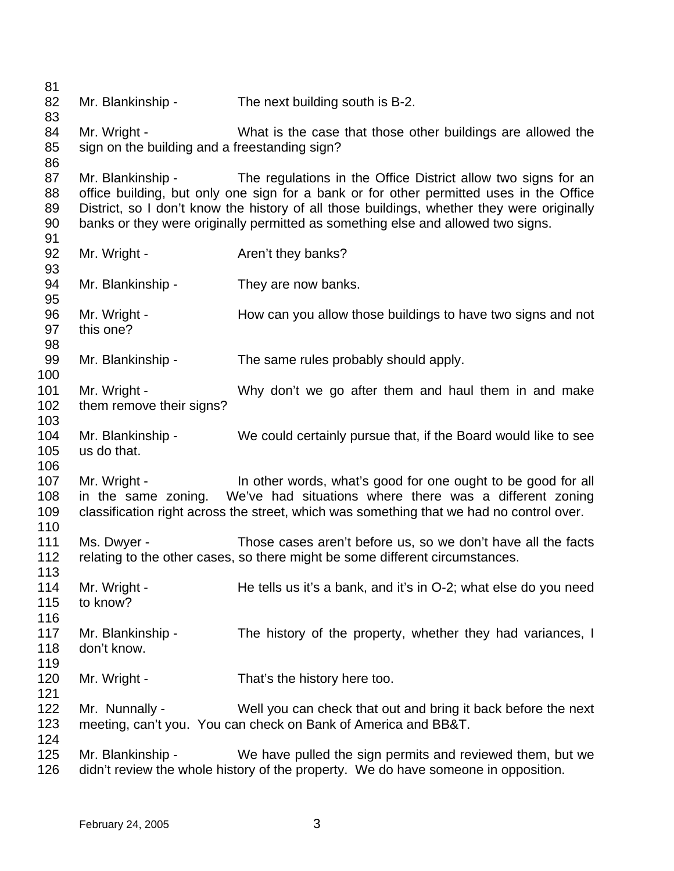81 82 83 84 85 86 87 88 89 90 91 92 93 94 95 96 97 98 99 100 101 102 103 104 105 106 107 108 109 110 111 112 113 114 115 116 117 118 119 120 121 122 123 124 125 126 Mr. Blankinship - The next building south is B-2. Mr. Wright - What is the case that those other buildings are allowed the sign on the building and a freestanding sign? Mr. Blankinship - The regulations in the Office District allow two signs for an office building, but only one sign for a bank or for other permitted uses in the Office District, so I don't know the history of all those buildings, whether they were originally banks or they were originally permitted as something else and allowed two signs. Mr. Wright - The Aren't they banks? Mr. Blankinship - They are now banks. Mr. Wright - How can you allow those buildings to have two signs and not this one? Mr. Blankinship - The same rules probably should apply. Mr. Wright - Why don't we go after them and haul them in and make them remove their signs? Mr. Blankinship - We could certainly pursue that, if the Board would like to see us do that. Mr. Wright - In other words, what's good for one ought to be good for all in the same zoning. We've had situations where there was a different zoning classification right across the street, which was something that we had no control over. Ms. Dwyer - Those cases aren't before us, so we don't have all the facts relating to the other cases, so there might be some different circumstances. Mr. Wright - He tells us it's a bank, and it's in O-2; what else do you need to know? Mr. Blankinship - The history of the property, whether they had variances, I don't know. Mr. Wright - That's the history here too. Mr. Nunnally - Well you can check that out and bring it back before the next meeting, can't you. You can check on Bank of America and BB&T. Mr. Blankinship - We have pulled the sign permits and reviewed them, but we didn't review the whole history of the property. We do have someone in opposition.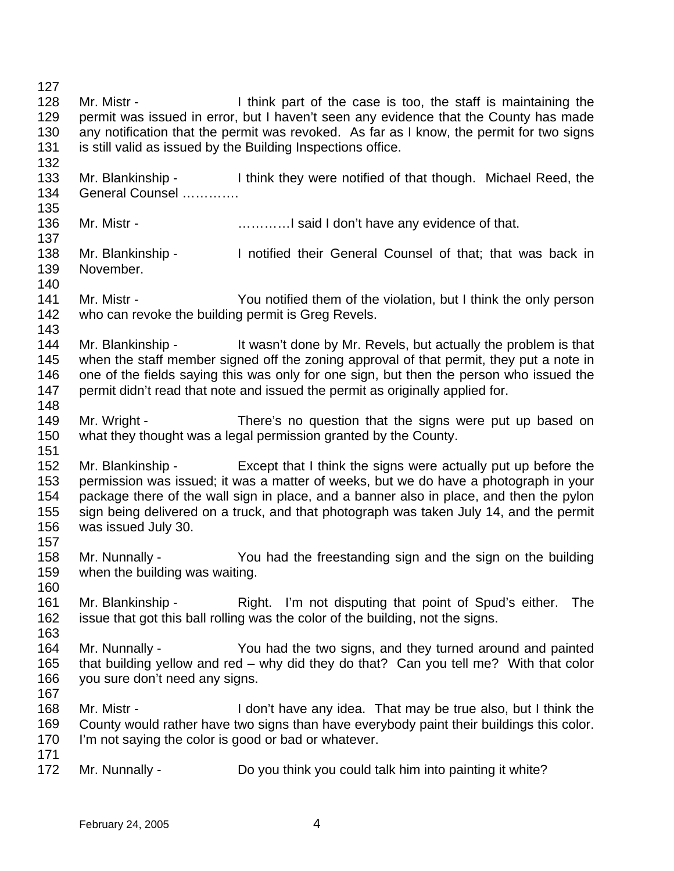127 128 129 130 131 132 133 134 135 136 137 138 139 140 141 142 143 144 145 146 147 148 149 150 151 152 153 154 155 156 157 158 159 160 161 162 163 164 165 166 167 168 169 170 171 172 Mr. Mistr - Think part of the case is too, the staff is maintaining the permit was issued in error, but I haven't seen any evidence that the County has made any notification that the permit was revoked. As far as I know, the permit for two signs is still valid as issued by the Building Inspections office. Mr. Blankinship - I think they were notified of that though. Michael Reed, the General Counsel …………. Mr. Mistr - **Example 20** ..............I said I don't have any evidence of that. Mr. Blankinship - Inotified their General Counsel of that; that was back in November. Mr. Mistr - You notified them of the violation, but I think the only person who can revoke the building permit is Greg Revels. Mr. Blankinship - It wasn't done by Mr. Revels, but actually the problem is that when the staff member signed off the zoning approval of that permit, they put a note in one of the fields saying this was only for one sign, but then the person who issued the permit didn't read that note and issued the permit as originally applied for. Mr. Wright - There's no question that the signs were put up based on what they thought was a legal permission granted by the County. Mr. Blankinship - Except that I think the signs were actually put up before the permission was issued; it was a matter of weeks, but we do have a photograph in your package there of the wall sign in place, and a banner also in place, and then the pylon sign being delivered on a truck, and that photograph was taken July 14, and the permit was issued July 30. Mr. Nunnally - You had the freestanding sign and the sign on the building when the building was waiting. Mr. Blankinship - Right. I'm not disputing that point of Spud's either. The issue that got this ball rolling was the color of the building, not the signs. Mr. Nunnally - You had the two signs, and they turned around and painted that building yellow and red – why did they do that? Can you tell me? With that color you sure don't need any signs. Mr. Mistr - I don't have any idea. That may be true also, but I think the County would rather have two signs than have everybody paint their buildings this color. I'm not saying the color is good or bad or whatever. Mr. Nunnally - Do you think you could talk him into painting it white?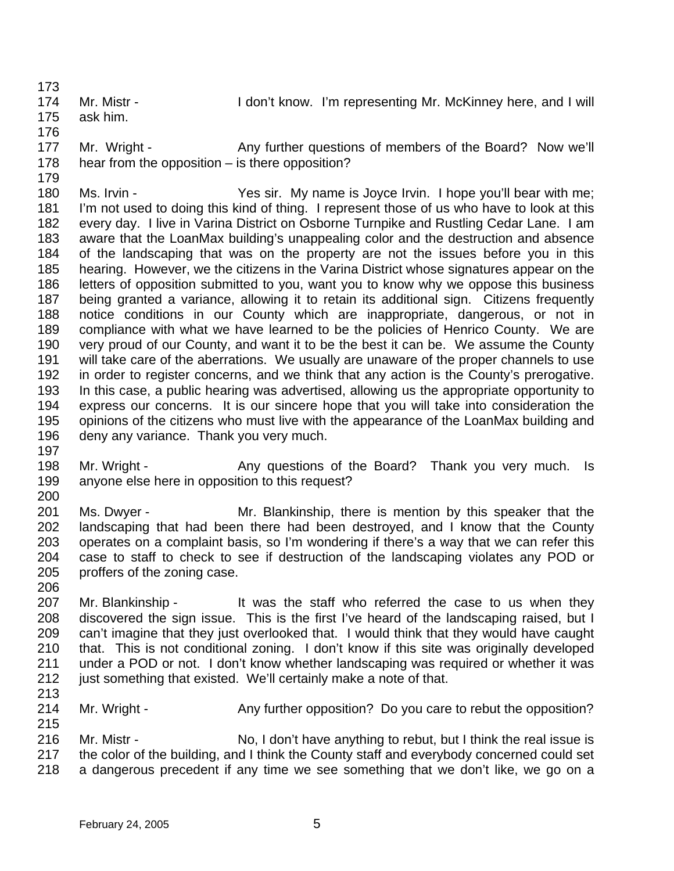173 174 175 Mr. Mistr - The Muslim Con't know. I'm representing Mr. McKinney here, and I will ask him.

176 177 178 Mr. Wright - Any further questions of members of the Board? Now we'll hear from the opposition – is there opposition?

180 181 182 183 184 185 186 187 188 189 190 191 192 193 194 195 196 197 Ms. Irvin - Yes sir. My name is Joyce Irvin. I hope you'll bear with me; I'm not used to doing this kind of thing. I represent those of us who have to look at this every day. I live in Varina District on Osborne Turnpike and Rustling Cedar Lane. I am aware that the LoanMax building's unappealing color and the destruction and absence of the landscaping that was on the property are not the issues before you in this hearing. However, we the citizens in the Varina District whose signatures appear on the letters of opposition submitted to you, want you to know why we oppose this business being granted a variance, allowing it to retain its additional sign. Citizens frequently notice conditions in our County which are inappropriate, dangerous, or not in compliance with what we have learned to be the policies of Henrico County. We are very proud of our County, and want it to be the best it can be. We assume the County will take care of the aberrations. We usually are unaware of the proper channels to use in order to register concerns, and we think that any action is the County's prerogative. In this case, a public hearing was advertised, allowing us the appropriate opportunity to express our concerns. It is our sincere hope that you will take into consideration the opinions of the citizens who must live with the appearance of the LoanMax building and deny any variance. Thank you very much.

- 198 199 Mr. Wright - Any questions of the Board? Thank you very much. Is anyone else here in opposition to this request?
- 200 201 202 203 204 205 Ms. Dwyer - Mr. Blankinship, there is mention by this speaker that the landscaping that had been there had been destroyed, and I know that the County operates on a complaint basis, so I'm wondering if there's a way that we can refer this case to staff to check to see if destruction of the landscaping violates any POD or proffers of the zoning case.
- 207 208 209 210 211 212 Mr. Blankinship - The was the staff who referred the case to us when they discovered the sign issue. This is the first I've heard of the landscaping raised, but I can't imagine that they just overlooked that. I would think that they would have caught that. This is not conditional zoning. I don't know if this site was originally developed under a POD or not. I don't know whether landscaping was required or whether it was just something that existed. We'll certainly make a note of that.
- 214 Mr. Wright - Any further opposition? Do you care to rebut the opposition?
- 215 216 217 218 Mr. Mistr - No, I don't have anything to rebut, but I think the real issue is the color of the building, and I think the County staff and everybody concerned could set a dangerous precedent if any time we see something that we don't like, we go on a

179

206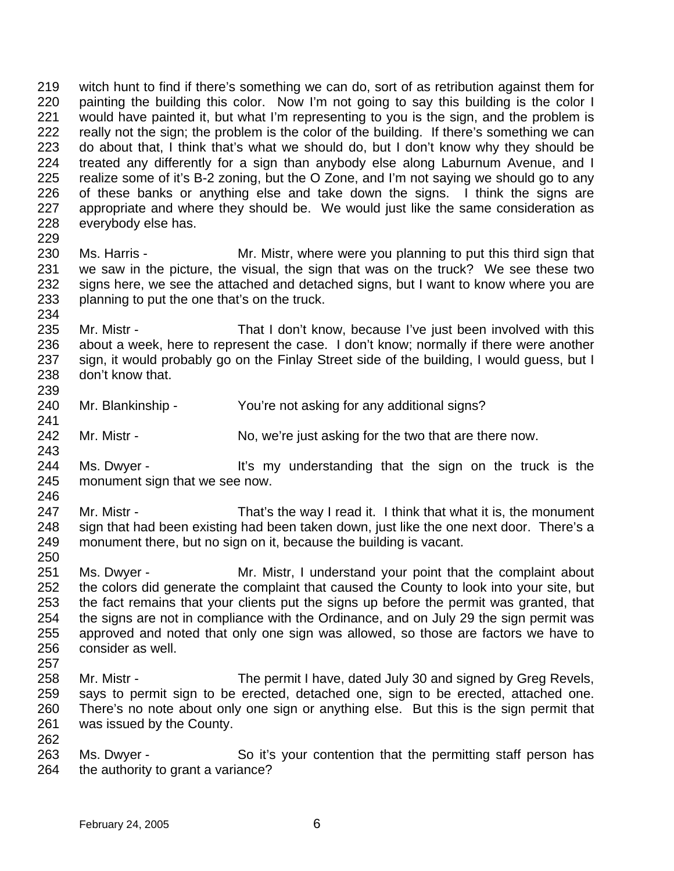219 220 221 222 223 224 225 226 227 228 229 witch hunt to find if there's something we can do, sort of as retribution against them for painting the building this color. Now I'm not going to say this building is the color I would have painted it, but what I'm representing to you is the sign, and the problem is really not the sign; the problem is the color of the building. If there's something we can do about that, I think that's what we should do, but I don't know why they should be treated any differently for a sign than anybody else along Laburnum Avenue, and I realize some of it's B-2 zoning, but the O Zone, and I'm not saying we should go to any of these banks or anything else and take down the signs. I think the signs are appropriate and where they should be. We would just like the same consideration as everybody else has.

- 230 231 232 233 Ms. Harris - Mr. Mistr, where were you planning to put this third sign that we saw in the picture, the visual, the sign that was on the truck? We see these two signs here, we see the attached and detached signs, but I want to know where you are planning to put the one that's on the truck.
- 235 236 237 238 239 Mr. Mistr - That I don't know, because I've just been involved with this about a week, here to represent the case. I don't know; normally if there were another sign, it would probably go on the Finlay Street side of the building, I would guess, but I don't know that.
- 240 Mr. Blankinship - You're not asking for any additional signs?
- 242 Mr. Mistr - No, we're just asking for the two that are there now.
- 244 245 Ms. Dwyer - It's my understanding that the sign on the truck is the monument sign that we see now.
- 246 247 248 249 Mr. Mistr - That's the way I read it. I think that what it is, the monument sign that had been existing had been taken down, just like the one next door. There's a monument there, but no sign on it, because the building is vacant.
- 250

234

241

- 251 252 253 254 255 256 Ms. Dwyer - Mr. Mistr, I understand your point that the complaint about the colors did generate the complaint that caused the County to look into your site, but the fact remains that your clients put the signs up before the permit was granted, that the signs are not in compliance with the Ordinance, and on July 29 the sign permit was approved and noted that only one sign was allowed, so those are factors we have to consider as well.
- 257
- 258 259 260 261 262 Mr. Mistr - The permit I have, dated July 30 and signed by Greg Revels, says to permit sign to be erected, detached one, sign to be erected, attached one. There's no note about only one sign or anything else. But this is the sign permit that was issued by the County.
- 263 264 Ms. Dwyer - So it's your contention that the permitting staff person has the authority to grant a variance?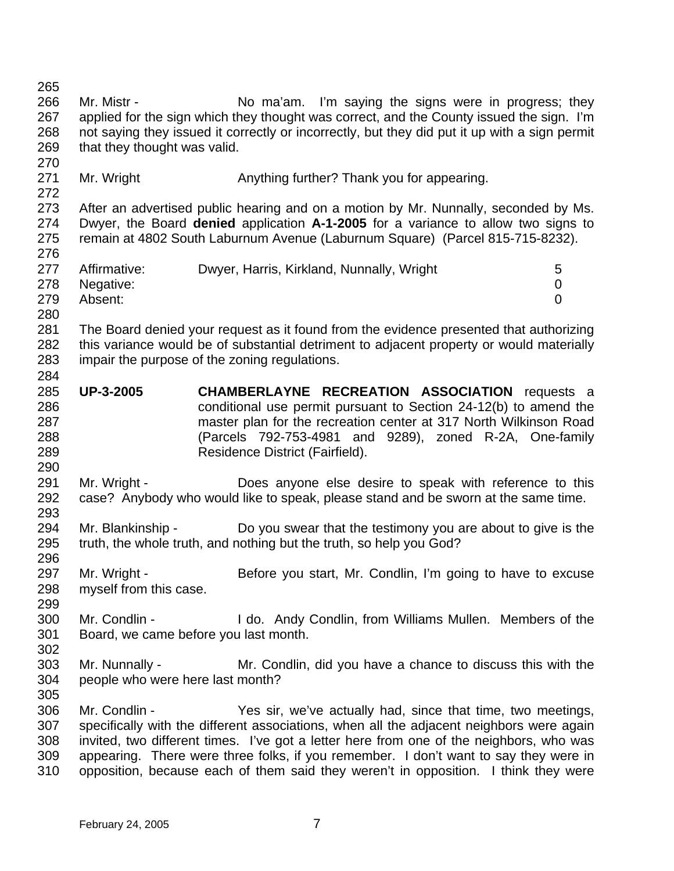265 266 267 268 269 270 271 272 273 274 275 276 277 278 279 280 281 282 283 284 285 286 287 288 289 290 291 292 293 294 295 296 297 298 299 300 301 302 303 304 305 306 307 308 309 310 Mr. Mistr - No ma'am. I'm saying the signs were in progress; they applied for the sign which they thought was correct, and the County issued the sign. I'm not saying they issued it correctly or incorrectly, but they did put it up with a sign permit that they thought was valid. Mr. Wright **Anything further?** Thank you for appearing. After an advertised public hearing and on a motion by Mr. Nunnally, seconded by Ms. Dwyer, the Board **denied** application **A-1-2005** for a variance to allow two signs to remain at 4802 South Laburnum Avenue (Laburnum Square) (Parcel 815-715-8232). Affirmative: Dwyer, Harris, Kirkland, Nunnally, Wright 5 Negative: 0 Absent: 0 The Board denied your request as it found from the evidence presented that authorizing this variance would be of substantial detriment to adjacent property or would materially impair the purpose of the zoning regulations. **UP-3-2005 CHAMBERLAYNE RECREATION ASSOCIATION** requests a conditional use permit pursuant to Section 24-12(b) to amend the master plan for the recreation center at 317 North Wilkinson Road (Parcels 792-753-4981 and 9289), zoned R-2A, One-family Residence District (Fairfield). Mr. Wright - Does anyone else desire to speak with reference to this case? Anybody who would like to speak, please stand and be sworn at the same time. Mr. Blankinship - Do you swear that the testimony you are about to give is the truth, the whole truth, and nothing but the truth, so help you God? Mr. Wright - Before you start, Mr. Condlin, I'm going to have to excuse myself from this case. Mr. Condlin - The Condington I do. Andy Condlin, from Williams Mullen. Members of the Board, we came before you last month. Mr. Nunnally - Mr. Condlin, did you have a chance to discuss this with the people who were here last month? Mr. Condlin - Yes sir, we've actually had, since that time, two meetings, specifically with the different associations, when all the adjacent neighbors were again invited, two different times. I've got a letter here from one of the neighbors, who was appearing. There were three folks, if you remember. I don't want to say they were in opposition, because each of them said they weren't in opposition. I think they were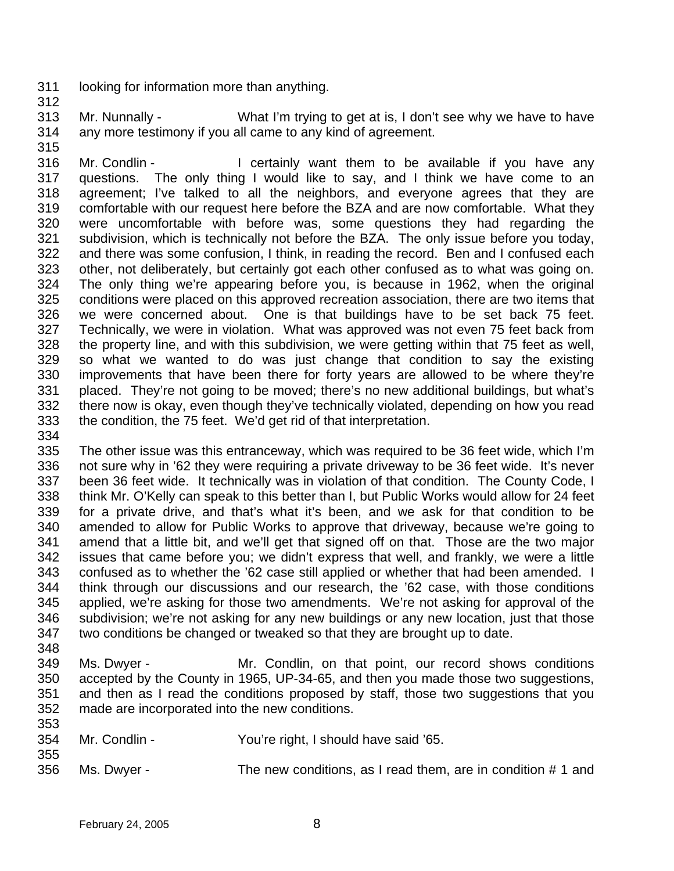- 311 looking for information more than anything.
- 312
- 313 314 Mr. Nunnally - What I'm trying to get at is, I don't see why we have to have any more testimony if you all came to any kind of agreement.
- 315

316 317 318 319 320 321 322 323 324 325 326 327 328 329 330 331 332 333 Mr. Condlin - The Containly want them to be available if you have any questions. The only thing I would like to say, and I think we have come to an agreement; I've talked to all the neighbors, and everyone agrees that they are comfortable with our request here before the BZA and are now comfortable. What they were uncomfortable with before was, some questions they had regarding the subdivision, which is technically not before the BZA. The only issue before you today, and there was some confusion, I think, in reading the record. Ben and I confused each other, not deliberately, but certainly got each other confused as to what was going on. The only thing we're appearing before you, is because in 1962, when the original conditions were placed on this approved recreation association, there are two items that we were concerned about. One is that buildings have to be set back 75 feet. Technically, we were in violation. What was approved was not even 75 feet back from the property line, and with this subdivision, we were getting within that 75 feet as well, so what we wanted to do was just change that condition to say the existing improvements that have been there for forty years are allowed to be where they're placed. They're not going to be moved; there's no new additional buildings, but what's there now is okay, even though they've technically violated, depending on how you read the condition, the 75 feet. We'd get rid of that interpretation.

334

335 336 337 338 339 340 341 342 343 344 345 346 347 The other issue was this entranceway, which was required to be 36 feet wide, which I'm not sure why in '62 they were requiring a private driveway to be 36 feet wide. It's never been 36 feet wide. It technically was in violation of that condition. The County Code, I think Mr. O'Kelly can speak to this better than I, but Public Works would allow for 24 feet for a private drive, and that's what it's been, and we ask for that condition to be amended to allow for Public Works to approve that driveway, because we're going to amend that a little bit, and we'll get that signed off on that. Those are the two major issues that came before you; we didn't express that well, and frankly, we were a little confused as to whether the '62 case still applied or whether that had been amended. I think through our discussions and our research, the '62 case, with those conditions applied, we're asking for those two amendments. We're not asking for approval of the subdivision; we're not asking for any new buildings or any new location, just that those two conditions be changed or tweaked so that they are brought up to date.

348

355

349 350 351 352 353 Ms. Dwyer - Mr. Condlin, on that point, our record shows conditions accepted by the County in 1965, UP-34-65, and then you made those two suggestions, and then as I read the conditions proposed by staff, those two suggestions that you made are incorporated into the new conditions.

| 354 | Mr. Condlin - | You're right, I should have said '65. |
|-----|---------------|---------------------------------------|
|     |               |                                       |
|     |               |                                       |

356 Ms. Dwyer - The new conditions, as I read them, are in condition # 1 and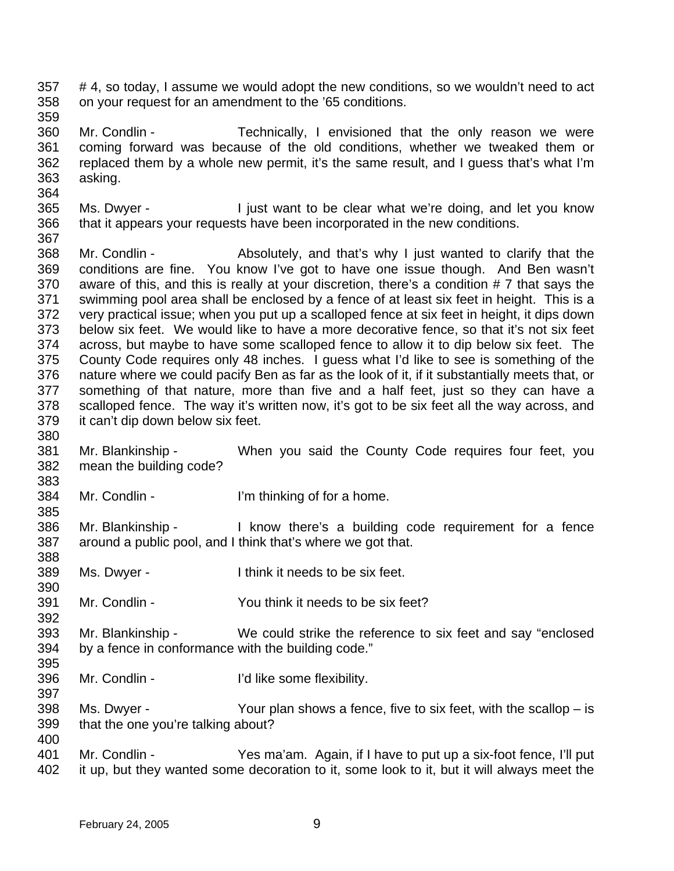- 357 358 # 4, so today, I assume we would adopt the new conditions, so we wouldn't need to act on your request for an amendment to the '65 conditions.
- 359

364

385

390

392

- 360 361 362 363 Mr. Condlin - Technically, I envisioned that the only reason we were coming forward was because of the old conditions, whether we tweaked them or replaced them by a whole new permit, it's the same result, and I guess that's what I'm asking.
- 365 366 Ms. Dwyer - I just want to be clear what we're doing, and let you know that it appears your requests have been incorporated in the new conditions.
- 367 368 369 370 371 372 373 374 375 376 377 378 379 380 Mr. Condlin - Absolutely, and that's why I just wanted to clarify that the conditions are fine. You know I've got to have one issue though. And Ben wasn't aware of this, and this is really at your discretion, there's a condition # 7 that says the swimming pool area shall be enclosed by a fence of at least six feet in height. This is a very practical issue; when you put up a scalloped fence at six feet in height, it dips down below six feet. We would like to have a more decorative fence, so that it's not six feet across, but maybe to have some scalloped fence to allow it to dip below six feet. The County Code requires only 48 inches. I guess what I'd like to see is something of the nature where we could pacify Ben as far as the look of it, if it substantially meets that, or something of that nature, more than five and a half feet, just so they can have a scalloped fence. The way it's written now, it's got to be six feet all the way across, and it can't dip down below six feet.
- 381 382 383 Mr. Blankinship - When you said the County Code requires four feet, you mean the building code?
- 384 Mr. Condlin - I'm thinking of for a home.
- 386 387 388 Mr. Blankinship - The Reflexive there's a building code requirement for a fence around a public pool, and I think that's where we got that.
- 389 Ms. Dwyer - Think it needs to be six feet.
- 391 Mr. Condlin - You think it needs to be six feet?
- 393 394 395 Mr. Blankinship - We could strike the reference to six feet and say "enclosed" by a fence in conformance with the building code."
- 396 Mr. Condlin - Times and I'd like some flexibility.
- 398 399 400 Ms. Dwyer - Your plan shows a fence, five to six feet, with the scallop – is that the one you're talking about?
- 401 402 Mr. Condlin - Yes ma'am. Again, if I have to put up a six-foot fence, I'll put it up, but they wanted some decoration to it, some look to it, but it will always meet the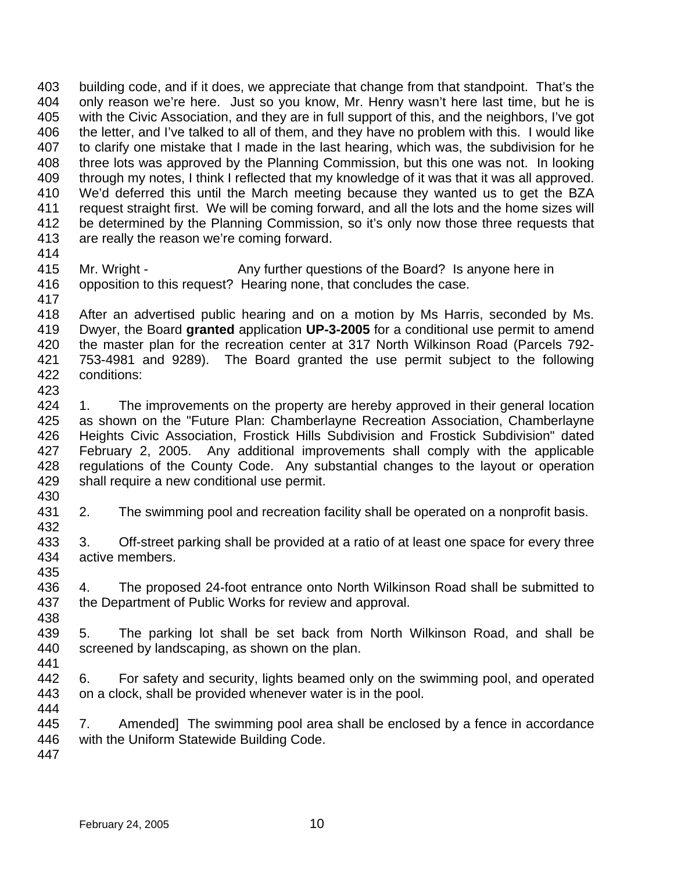403 404 405 406 407 408 409 410 411 412 413 414 building code, and if it does, we appreciate that change from that standpoint. That's the only reason we're here. Just so you know, Mr. Henry wasn't here last time, but he is with the Civic Association, and they are in full support of this, and the neighbors, I've got the letter, and I've talked to all of them, and they have no problem with this. I would like to clarify one mistake that I made in the last hearing, which was, the subdivision for he three lots was approved by the Planning Commission, but this one was not. In looking through my notes, I think I reflected that my knowledge of it was that it was all approved. We'd deferred this until the March meeting because they wanted us to get the BZA request straight first. We will be coming forward, and all the lots and the home sizes will be determined by the Planning Commission, so it's only now those three requests that are really the reason we're coming forward.

415

Mr. Wright - Any further questions of the Board? Is anyone here in opposition to this request? Hearing none, that concludes the case.

416 417

418 419 420 421 422 423 After an advertised public hearing and on a motion by Ms Harris, seconded by Ms. Dwyer, the Board **granted** application **UP-3-2005** for a conditional use permit to amend the master plan for the recreation center at 317 North Wilkinson Road (Parcels 792- 753-4981 and 9289). The Board granted the use permit subject to the following conditions:

424 425 426 427 428 429 1. The improvements on the property are hereby approved in their general location as shown on the "Future Plan: Chamberlayne Recreation Association, Chamberlayne Heights Civic Association, Frostick Hills Subdivision and Frostick Subdivision" dated February 2, 2005. Any additional improvements shall comply with the applicable regulations of the County Code. Any substantial changes to the layout or operation shall require a new conditional use permit.

430 431

432 2. The swimming pool and recreation facility shall be operated on a nonprofit basis.

433 434 3. Off-street parking shall be provided at a ratio of at least one space for every three active members.

435

438

436 437 4. The proposed 24-foot entrance onto North Wilkinson Road shall be submitted to the Department of Public Works for review and approval.

439 440 441 5. The parking lot shall be set back from North Wilkinson Road, and shall be screened by landscaping, as shown on the plan.

442 443 6. For safety and security, lights beamed only on the swimming pool, and operated on a clock, shall be provided whenever water is in the pool.

444

445 446 7. Amended] The swimming pool area shall be enclosed by a fence in accordance with the Uniform Statewide Building Code.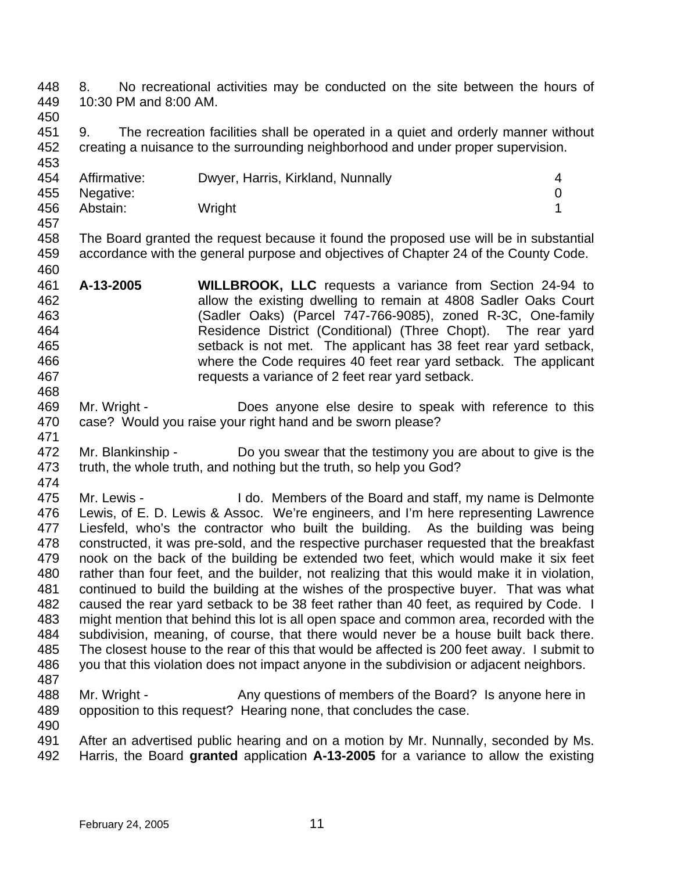448 449 8. No recreational activities may be conducted on the site between the hours of 10:30 PM and 8:00 AM.

450

460

451 452 453 9. The recreation facilities shall be operated in a quiet and orderly manner without creating a nuisance to the surrounding neighborhood and under proper supervision.

| 454 | Affirmative:  | Dwyer, Harris, Kirkland, Nunnally |   |
|-----|---------------|-----------------------------------|---|
|     | 455 Negative: |                                   | 0 |
| 456 | Abstain:      | Wright                            |   |
| 457 |               |                                   |   |

458 459 The Board granted the request because it found the proposed use will be in substantial accordance with the general purpose and objectives of Chapter 24 of the County Code.

461 462 463 464 465 466 467 **A-13-2005 WILLBROOK, LLC** requests a variance from Section 24-94 to allow the existing dwelling to remain at 4808 Sadler Oaks Court (Sadler Oaks) (Parcel 747-766-9085), zoned R-3C, One-family Residence District (Conditional) (Three Chopt). The rear yard setback is not met. The applicant has 38 feet rear yard setback, where the Code requires 40 feet rear yard setback. The applicant requests a variance of 2 feet rear yard setback.

469 470 Mr. Wright - **Does anyone else desire to speak with reference to this** case? Would you raise your right hand and be sworn please?

- 472 473 Mr. Blankinship - Do you swear that the testimony you are about to give is the truth, the whole truth, and nothing but the truth, so help you God?
- 474

468

471

475 476 477 478 479 480 481 482 483 484 485 486 487 Mr. Lewis - I do. Members of the Board and staff, my name is Delmonte Lewis, of E. D. Lewis & Assoc. We're engineers, and I'm here representing Lawrence Liesfeld, who's the contractor who built the building. As the building was being constructed, it was pre-sold, and the respective purchaser requested that the breakfast nook on the back of the building be extended two feet, which would make it six feet rather than four feet, and the builder, not realizing that this would make it in violation, continued to build the building at the wishes of the prospective buyer. That was what caused the rear yard setback to be 38 feet rather than 40 feet, as required by Code. I might mention that behind this lot is all open space and common area, recorded with the subdivision, meaning, of course, that there would never be a house built back there. The closest house to the rear of this that would be affected is 200 feet away. I submit to you that this violation does not impact anyone in the subdivision or adjacent neighbors.

- 488 489 Mr. Wright - Any questions of members of the Board? Is anyone here in opposition to this request? Hearing none, that concludes the case.
- 490 491 492 After an advertised public hearing and on a motion by Mr. Nunnally, seconded by Ms. Harris, the Board **granted** application **A-13-2005** for a variance to allow the existing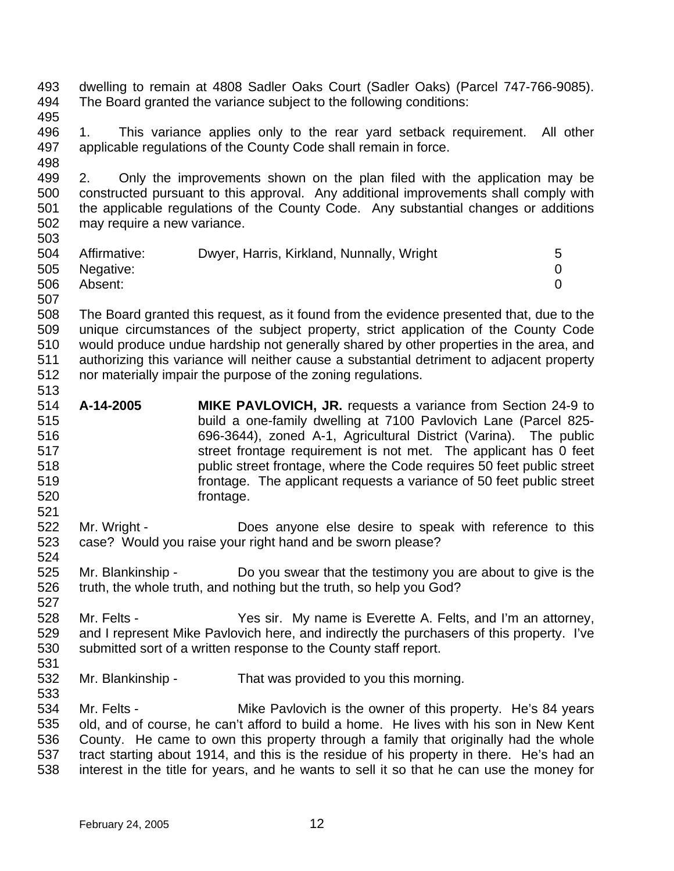493 494 495 dwelling to remain at 4808 Sadler Oaks Court (Sadler Oaks) (Parcel 747-766-9085). The Board granted the variance subject to the following conditions:

496 497 498 1. This variance applies only to the rear yard setback requirement. All other applicable regulations of the County Code shall remain in force.

499 500 501 502 503 2. Only the improvements shown on the plan filed with the application may be constructed pursuant to this approval. Any additional improvements shall comply with the applicable regulations of the County Code. Any substantial changes or additions may require a new variance.

| --- |               |                                           |  |
|-----|---------------|-------------------------------------------|--|
| 504 | Affirmative:  | Dwyer, Harris, Kirkland, Nunnally, Wright |  |
|     | 505 Negative: |                                           |  |
| 506 | Absent:       |                                           |  |
| 507 |               |                                           |  |

508 509 510 511 512 The Board granted this request, as it found from the evidence presented that, due to the unique circumstances of the subject property, strict application of the County Code would produce undue hardship not generally shared by other properties in the area, and authorizing this variance will neither cause a substantial detriment to adjacent property nor materially impair the purpose of the zoning regulations.

- 514 515 516 517 518 519 520 **A-14-2005 MIKE PAVLOVICH, JR.** requests a variance from Section 24-9 to build a one-family dwelling at 7100 Pavlovich Lane (Parcel 825- 696-3644), zoned A-1, Agricultural District (Varina). The public street frontage requirement is not met. The applicant has 0 feet public street frontage, where the Code requires 50 feet public street frontage. The applicant requests a variance of 50 feet public street frontage.
- 522 523 524 Mr. Wright - **Does anyone else desire to speak with reference to this** case? Would you raise your right hand and be sworn please?

525 526 527 Mr. Blankinship - Do you swear that the testimony you are about to give is the truth, the whole truth, and nothing but the truth, so help you God?

528 529 530 Mr. Felts - The Yes sir. My name is Everette A. Felts, and I'm an attorney, and I represent Mike Pavlovich here, and indirectly the purchasers of this property. I've submitted sort of a written response to the County staff report.

531

533

513

521

532 Mr. Blankinship - That was provided to you this morning.

534 535 536 537 538 Mr. Felts - Mike Pavlovich is the owner of this property. He's 84 years old, and of course, he can't afford to build a home. He lives with his son in New Kent County. He came to own this property through a family that originally had the whole tract starting about 1914, and this is the residue of his property in there. He's had an interest in the title for years, and he wants to sell it so that he can use the money for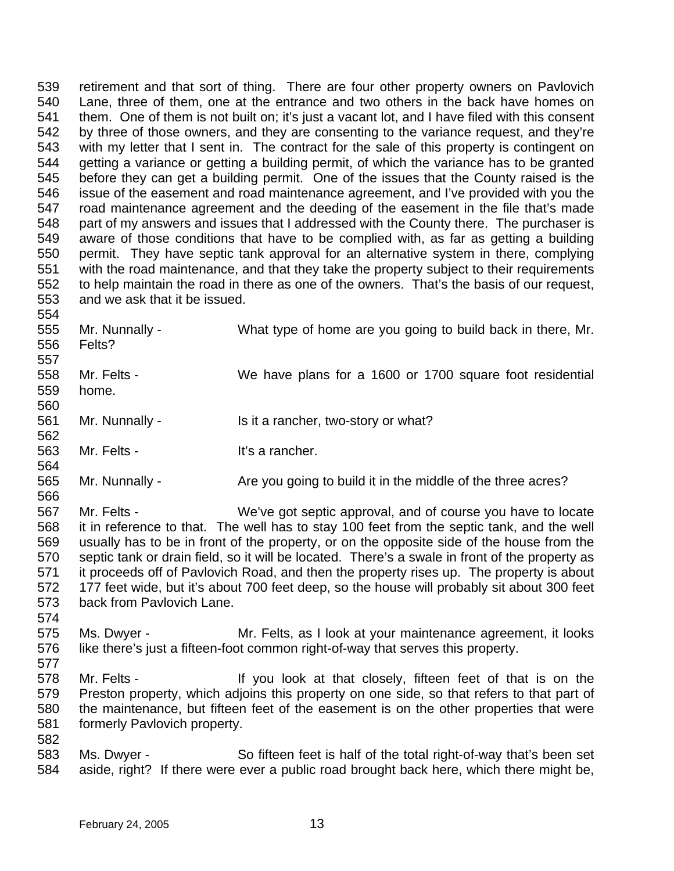539 540 541 542 543 544 545 546 547 548 549 550 551 552 553 554 retirement and that sort of thing. There are four other property owners on Pavlovich Lane, three of them, one at the entrance and two others in the back have homes on them. One of them is not built on; it's just a vacant lot, and I have filed with this consent by three of those owners, and they are consenting to the variance request, and they're with my letter that I sent in. The contract for the sale of this property is contingent on getting a variance or getting a building permit, of which the variance has to be granted before they can get a building permit. One of the issues that the County raised is the issue of the easement and road maintenance agreement, and I've provided with you the road maintenance agreement and the deeding of the easement in the file that's made part of my answers and issues that I addressed with the County there. The purchaser is aware of those conditions that have to be complied with, as far as getting a building permit. They have septic tank approval for an alternative system in there, complying with the road maintenance, and that they take the property subject to their requirements to help maintain the road in there as one of the owners. That's the basis of our request, and we ask that it be issued.

555 556 557 558 559 560 561 562 563 564 Mr. Nunnally - What type of home are you going to build back in there, Mr. Felts? Mr. Felts - We have plans for a 1600 or 1700 square foot residential home. Mr. Nunnally - Is it a rancher, two-story or what? Mr. Felts - It's a rancher.

565 566 Mr. Nunnally - Are you going to build it in the middle of the three acres?

567 568 569 570 571 572 573 Mr. Felts - We've got septic approval, and of course you have to locate it in reference to that. The well has to stay 100 feet from the septic tank, and the well usually has to be in front of the property, or on the opposite side of the house from the septic tank or drain field, so it will be located. There's a swale in front of the property as it proceeds off of Pavlovich Road, and then the property rises up. The property is about 177 feet wide, but it's about 700 feet deep, so the house will probably sit about 300 feet back from Pavlovich Lane.

- 574 575 576 Ms. Dwyer - **Mr. Felts, as I look at your maintenance agreement, it looks** like there's just a fifteen-foot common right-of-way that serves this property.
- 577
- 578 579 580 581 582 Mr. Felts - The Mr is on the If you look at that closely, fifteen feet of that is on the Preston property, which adjoins this property on one side, so that refers to that part of the maintenance, but fifteen feet of the easement is on the other properties that were formerly Pavlovich property.
- 583 584 Ms. Dwyer - So fifteen feet is half of the total right-of-way that's been set aside, right? If there were ever a public road brought back here, which there might be,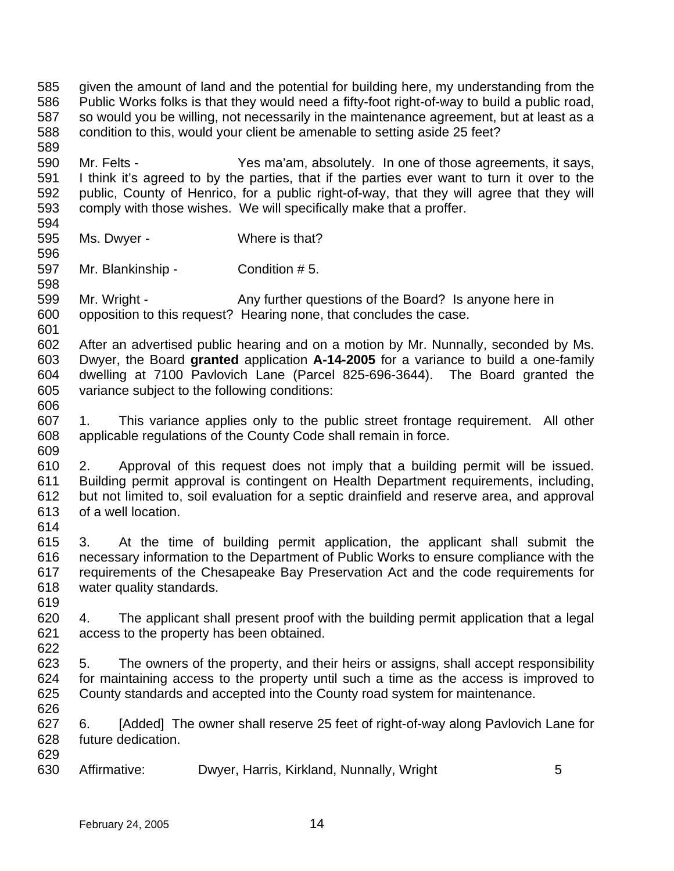585 586 587 588 589 590 591 592 593 594 595 596 597 598 599 600 601 602 603 604 605 606 607 608 609 610 611 612 613 614 615 616 617 618 619 620 621 622 623 624 625 626 627 628 629 630 given the amount of land and the potential for building here, my understanding from the Public Works folks is that they would need a fifty-foot right-of-way to build a public road, so would you be willing, not necessarily in the maintenance agreement, but at least as a condition to this, would your client be amenable to setting aside 25 feet? Mr. Felts - Yes ma'am, absolutely. In one of those agreements, it says, I think it's agreed to by the parties, that if the parties ever want to turn it over to the public, County of Henrico, for a public right-of-way, that they will agree that they will comply with those wishes. We will specifically make that a proffer. Ms. Dwyer - Where is that? Mr. Blankinship - Condition # 5. Mr. Wright - Any further questions of the Board? Is anyone here in opposition to this request? Hearing none, that concludes the case. After an advertised public hearing and on a motion by Mr. Nunnally, seconded by Ms. Dwyer, the Board **granted** application **A-14-2005** for a variance to build a one-family dwelling at 7100 Pavlovich Lane (Parcel 825-696-3644). The Board granted the variance subject to the following conditions: 1. This variance applies only to the public street frontage requirement. All other applicable regulations of the County Code shall remain in force. 2. Approval of this request does not imply that a building permit will be issued. Building permit approval is contingent on Health Department requirements, including, but not limited to, soil evaluation for a septic drainfield and reserve area, and approval of a well location. 3. At the time of building permit application, the applicant shall submit the necessary information to the Department of Public Works to ensure compliance with the requirements of the Chesapeake Bay Preservation Act and the code requirements for water quality standards. 4. The applicant shall present proof with the building permit application that a legal access to the property has been obtained. 5. The owners of the property, and their heirs or assigns, shall accept responsibility for maintaining access to the property until such a time as the access is improved to County standards and accepted into the County road system for maintenance. 6. [Added] The owner shall reserve 25 feet of right-of-way along Pavlovich Lane for future dedication. Affirmative: Dwyer, Harris, Kirkland, Nunnally, Wright 5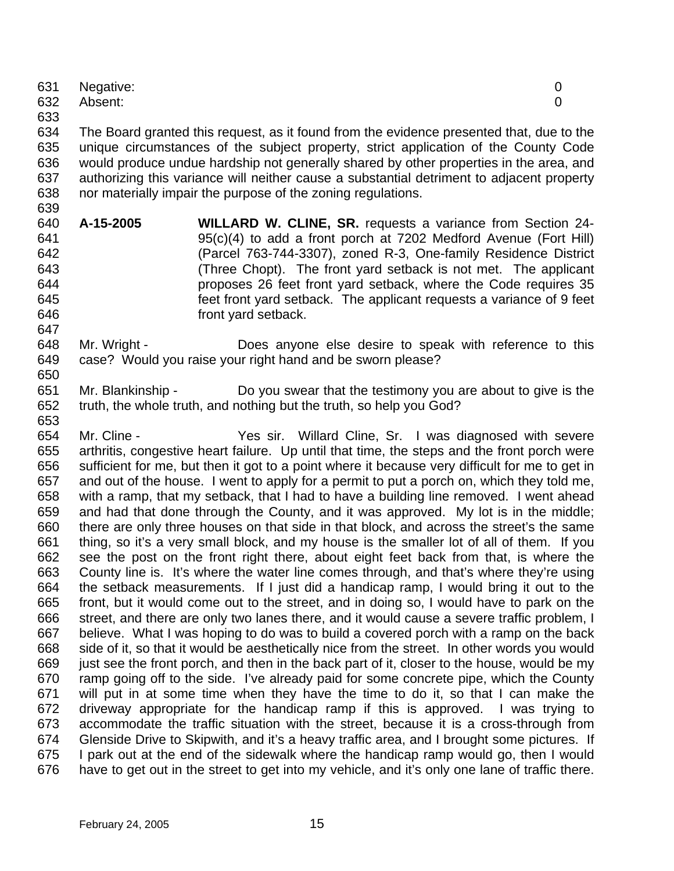|     | 631 Negative: |   |
|-----|---------------|---|
|     | 632 Absent:   | 0 |
| 633 |               |   |

634 635 636 637 638 639 The Board granted this request, as it found from the evidence presented that, due to the unique circumstances of the subject property, strict application of the County Code would produce undue hardship not generally shared by other properties in the area, and authorizing this variance will neither cause a substantial detriment to adjacent property nor materially impair the purpose of the zoning regulations.

- 640 641 642 643 644 645 646 **A-15-2005 WILLARD W. CLINE, SR.** requests a variance from Section 24- 95(c)(4) to add a front porch at 7202 Medford Avenue (Fort Hill) (Parcel 763-744-3307), zoned R-3, One-family Residence District (Three Chopt). The front yard setback is not met. The applicant proposes 26 feet front yard setback, where the Code requires 35 feet front yard setback. The applicant requests a variance of 9 feet front yard setback.
- 648 649 650 Mr. Wright - Does anyone else desire to speak with reference to this case? Would you raise your right hand and be sworn please?
- 651 652 Mr. Blankinship - Do you swear that the testimony you are about to give is the truth, the whole truth, and nothing but the truth, so help you God?

654 655 656 657 658 659 660 661 662 663 664 665 666 667 668 669 670 671 672 673 674 675 676 Mr. Cline - The State Yes sir. Willard Cline, Sr. I was diagnosed with severe arthritis, congestive heart failure. Up until that time, the steps and the front porch were sufficient for me, but then it got to a point where it because very difficult for me to get in and out of the house. I went to apply for a permit to put a porch on, which they told me, with a ramp, that my setback, that I had to have a building line removed. I went ahead and had that done through the County, and it was approved. My lot is in the middle; there are only three houses on that side in that block, and across the street's the same thing, so it's a very small block, and my house is the smaller lot of all of them. If you see the post on the front right there, about eight feet back from that, is where the County line is. It's where the water line comes through, and that's where they're using the setback measurements. If I just did a handicap ramp, I would bring it out to the front, but it would come out to the street, and in doing so, I would have to park on the street, and there are only two lanes there, and it would cause a severe traffic problem, I believe. What I was hoping to do was to build a covered porch with a ramp on the back side of it, so that it would be aesthetically nice from the street. In other words you would just see the front porch, and then in the back part of it, closer to the house, would be my ramp going off to the side. I've already paid for some concrete pipe, which the County will put in at some time when they have the time to do it, so that I can make the driveway appropriate for the handicap ramp if this is approved. I was trying to accommodate the traffic situation with the street, because it is a cross-through from Glenside Drive to Skipwith, and it's a heavy traffic area, and I brought some pictures. If I park out at the end of the sidewalk where the handicap ramp would go, then I would have to get out in the street to get into my vehicle, and it's only one lane of traffic there.

647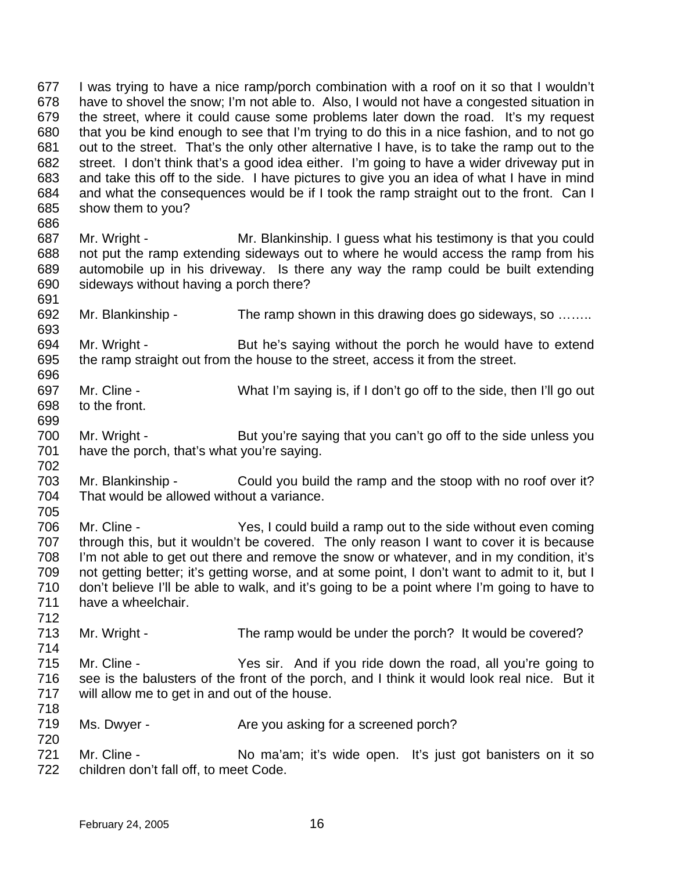677 678 679 680 681 682 683 684 685 686 I was trying to have a nice ramp/porch combination with a roof on it so that I wouldn't have to shovel the snow; I'm not able to. Also, I would not have a congested situation in the street, where it could cause some problems later down the road. It's my request that you be kind enough to see that I'm trying to do this in a nice fashion, and to not go out to the street. That's the only other alternative I have, is to take the ramp out to the street. I don't think that's a good idea either. I'm going to have a wider driveway put in and take this off to the side. I have pictures to give you an idea of what I have in mind and what the consequences would be if I took the ramp straight out to the front. Can I show them to you?

- 687 688 689 690 691 Mr. Wright - Mr. Blankinship. I guess what his testimony is that you could not put the ramp extending sideways out to where he would access the ramp from his automobile up in his driveway. Is there any way the ramp could be built extending sideways without having a porch there?
- 692 693 Mr. Blankinship - The ramp shown in this drawing does go sideways, so .......
- 694 695 696 Mr. Wright - But he's saying without the porch he would have to extend the ramp straight out from the house to the street, access it from the street.
- 697 698 Mr. Cline - What I'm saying is, if I don't go off to the side, then I'll go out to the front.
- 700 701 Mr. Wright - But you're saying that you can't go off to the side unless you have the porch, that's what you're saying.
- 703 704 Mr. Blankinship - Could you build the ramp and the stoop with no roof over it? That would be allowed without a variance.
- 706 707 708 709 710 711 Mr. Cline - The State of Yes, I could build a ramp out to the side without even coming through this, but it wouldn't be covered. The only reason I want to cover it is because I'm not able to get out there and remove the snow or whatever, and in my condition, it's not getting better; it's getting worse, and at some point, I don't want to admit to it, but I don't believe I'll be able to walk, and it's going to be a point where I'm going to have to have a wheelchair.
- 713 Mr. Wright - The ramp would be under the porch? It would be covered?
- 715 716 717 718 Mr. Cline - Yes sir. And if you ride down the road, all you're going to see is the balusters of the front of the porch, and I think it would look real nice. But it will allow me to get in and out of the house.
- 719 Ms. Dwyer - The you asking for a screened porch?
- 721 722 Mr. Cline - No ma'am; it's wide open. It's just got banisters on it so children don't fall off, to meet Code.

699

702

705

712

714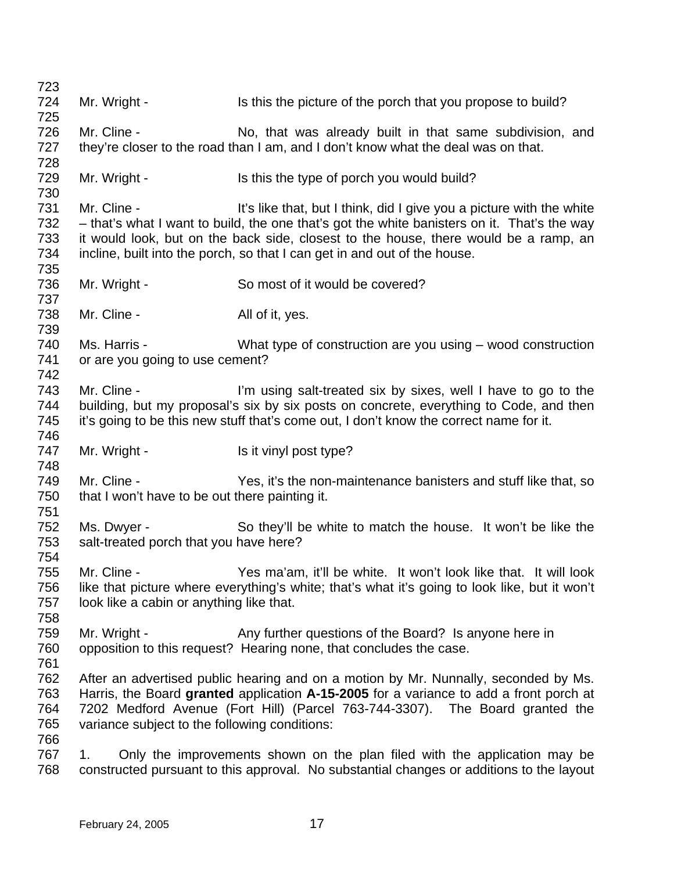723 724 725 726 727 728 729 730 731 732 733 734 735 736 737 738 739 740 741 742 743 744 745 746 747 748 749 750 751 752 753 754 755 756 757 758 759 760 761 762 763 764 765 766 767 768 Mr. Wright - Is this the picture of the porch that you propose to build? Mr. Cline - No, that was already built in that same subdivision, and they're closer to the road than I am, and I don't know what the deal was on that. Mr. Wright - Is this the type of porch you would build? Mr. Cline - It's like that, but I think, did I give you a picture with the white – that's what I want to build, the one that's got the white banisters on it. That's the way it would look, but on the back side, closest to the house, there would be a ramp, an incline, built into the porch, so that I can get in and out of the house. Mr. Wright - So most of it would be covered? Mr. Cline - All of it, yes. Ms. Harris - What type of construction are you using – wood construction or are you going to use cement? Mr. Cline - The sall-treated six by sixes, well I have to go to the building, but my proposal's six by six posts on concrete, everything to Code, and then it's going to be this new stuff that's come out, I don't know the correct name for it. Mr. Wright - Is it vinyl post type? Mr. Cline - Yes, it's the non-maintenance banisters and stuff like that, so that I won't have to be out there painting it. Ms. Dwyer - So they'll be white to match the house. It won't be like the salt-treated porch that you have here? Mr. Cline - Yes ma'am, it'll be white. It won't look like that. It will look like that picture where everything's white; that's what it's going to look like, but it won't look like a cabin or anything like that. Mr. Wright - Any further questions of the Board? Is anyone here in opposition to this request? Hearing none, that concludes the case. After an advertised public hearing and on a motion by Mr. Nunnally, seconded by Ms. Harris, the Board **granted** application **A-15-2005** for a variance to add a front porch at 7202 Medford Avenue (Fort Hill) (Parcel 763-744-3307). The Board granted the variance subject to the following conditions: 1. Only the improvements shown on the plan filed with the application may be constructed pursuant to this approval. No substantial changes or additions to the layout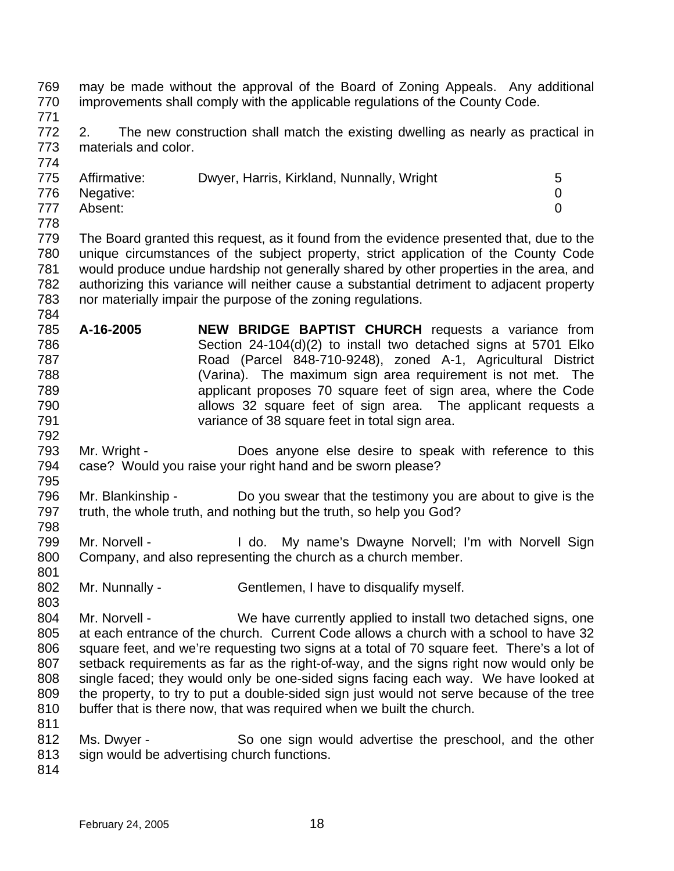769 770 771 772 773 774 775 776 777 778 779 780 781 782 783 784 785 786 787 788 789 790 791 792 793 794 795 796 797 798 799 800 801 802 803 804 805 806 807 808 809 810 811 812 813 814 may be made without the approval of the Board of Zoning Appeals. Any additional improvements shall comply with the applicable regulations of the County Code. 2. The new construction shall match the existing dwelling as nearly as practical in materials and color. Affirmative: Dwyer, Harris, Kirkland, Nunnally, Wright 5 Negative: 0 Absent: 0 The Board granted this request, as it found from the evidence presented that, due to the unique circumstances of the subject property, strict application of the County Code would produce undue hardship not generally shared by other properties in the area, and authorizing this variance will neither cause a substantial detriment to adjacent property nor materially impair the purpose of the zoning regulations. **A-16-2005 NEW BRIDGE BAPTIST CHURCH** requests a variance from Section 24-104(d)(2) to install two detached signs at 5701 Elko Road (Parcel 848-710-9248), zoned A-1, Agricultural District (Varina). The maximum sign area requirement is not met. The applicant proposes 70 square feet of sign area, where the Code allows 32 square feet of sign area. The applicant requests a variance of 38 square feet in total sign area. Mr. Wright - **Does anyone else desire to speak with reference to this** case? Would you raise your right hand and be sworn please? Mr. Blankinship - Do you swear that the testimony you are about to give is the truth, the whole truth, and nothing but the truth, so help you God? Mr. Norvell - I do. My name's Dwayne Norvell; I'm with Norvell Sign Company, and also representing the church as a church member. Mr. Nunnally - Gentlemen, I have to disqualify myself. Mr. Norvell - We have currently applied to install two detached signs, one at each entrance of the church. Current Code allows a church with a school to have 32 square feet, and we're requesting two signs at a total of 70 square feet. There's a lot of setback requirements as far as the right-of-way, and the signs right now would only be single faced; they would only be one-sided signs facing each way. We have looked at the property, to try to put a double-sided sign just would not serve because of the tree buffer that is there now, that was required when we built the church. Ms. Dwyer - So one sign would advertise the preschool, and the other sign would be advertising church functions.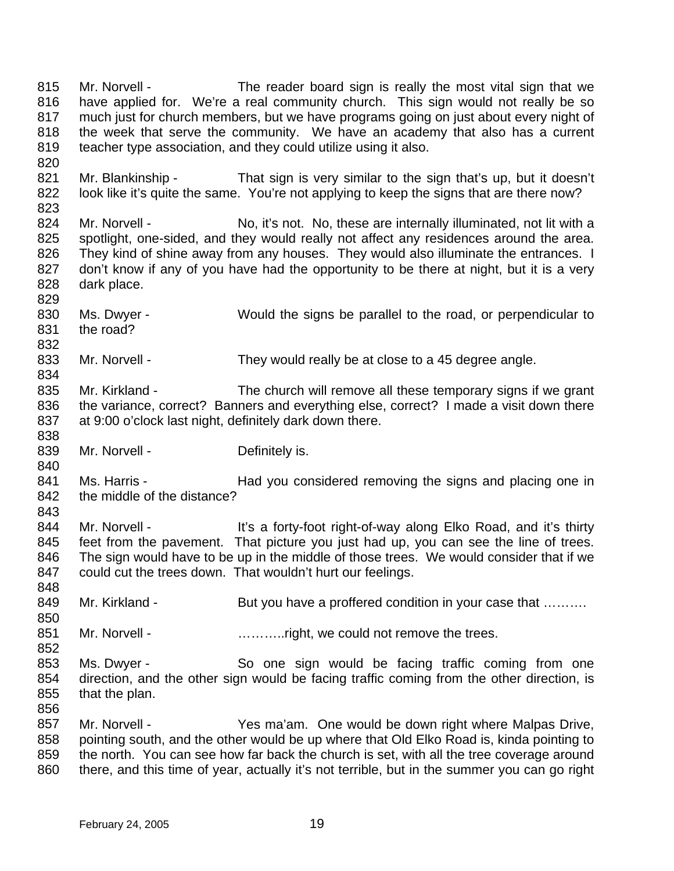815 816 817 818 819 820 821 822 823 824 825 826 827 828 829 830 831 832 833 834 835 836 837 838 839 840 841 842 843 844 845 846 847 848 849 850 851 852 853 854 855 856 857 858 859 Mr. Norvell - The reader board sign is really the most vital sign that we have applied for. We're a real community church. This sign would not really be so much just for church members, but we have programs going on just about every night of the week that serve the community. We have an academy that also has a current teacher type association, and they could utilize using it also. Mr. Blankinship - That sign is very similar to the sign that's up, but it doesn't look like it's quite the same. You're not applying to keep the signs that are there now? Mr. Norvell - No, it's not. No, these are internally illuminated, not lit with a spotlight, one-sided, and they would really not affect any residences around the area. They kind of shine away from any houses. They would also illuminate the entrances. I don't know if any of you have had the opportunity to be there at night, but it is a very dark place. Ms. Dwyer - Would the signs be parallel to the road, or perpendicular to the road? Mr. Norvell - They would really be at close to a 45 degree angle. Mr. Kirkland - The church will remove all these temporary signs if we grant the variance, correct? Banners and everything else, correct? I made a visit down there at 9:00 o'clock last night, definitely dark down there. Mr. Norvell - Definitely is. Ms. Harris - Thad you considered removing the signs and placing one in the middle of the distance? Mr. Norvell - It's a forty-foot right-of-way along Elko Road, and it's thirty feet from the pavement. That picture you just had up, you can see the line of trees. The sign would have to be up in the middle of those trees. We would consider that if we could cut the trees down. That wouldn't hurt our feelings. Mr. Kirkland - But you have a proffered condition in your case that .......... Mr. Norvell - ………..right, we could not remove the trees. Ms. Dwyer - So one sign would be facing traffic coming from one direction, and the other sign would be facing traffic coming from the other direction, is that the plan. Mr. Norvell - The Yes ma'am. One would be down right where Malpas Drive, pointing south, and the other would be up where that Old Elko Road is, kinda pointing to the north. You can see how far back the church is set, with all the tree coverage around

860 there, and this time of year, actually it's not terrible, but in the summer you can go right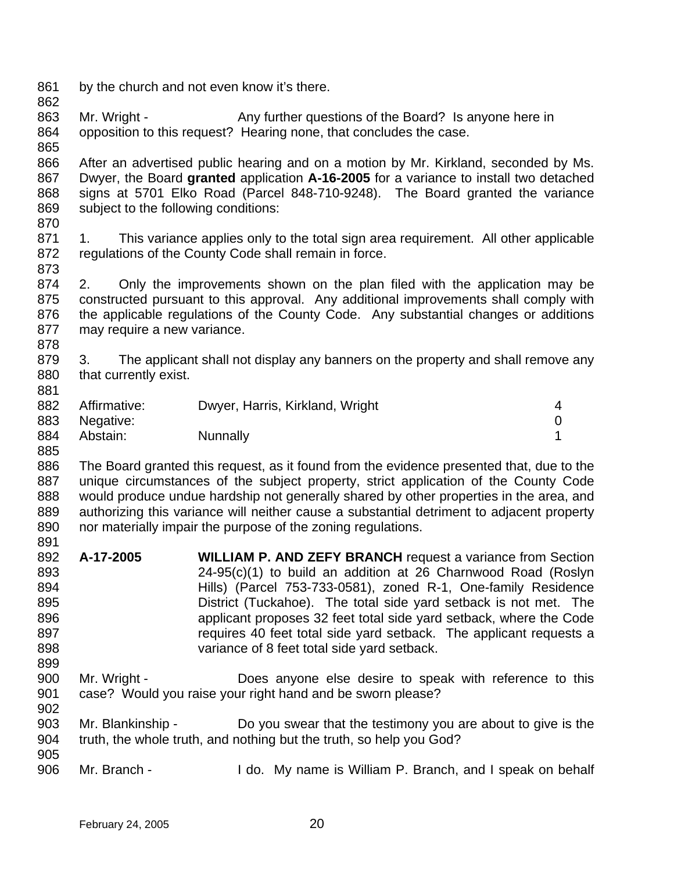- 861 by the church and not even know it's there.
- 862
- 
- 863 864 865 Mr. Wright - Any further questions of the Board? Is anyone here in opposition to this request? Hearing none, that concludes the case.
- 866 867 868 869 After an advertised public hearing and on a motion by Mr. Kirkland, seconded by Ms. Dwyer, the Board **granted** application **A-16-2005** for a variance to install two detached signs at 5701 Elko Road (Parcel 848-710-9248). The Board granted the variance subject to the following conditions:
- 870
- 871 872 873 1. This variance applies only to the total sign area requirement. All other applicable regulations of the County Code shall remain in force.
- 874 875 876 877 2. Only the improvements shown on the plan filed with the application may be constructed pursuant to this approval. Any additional improvements shall comply with the applicable regulations of the County Code. Any substantial changes or additions may require a new variance.
- 878

881

- 879 880 3. The applicant shall not display any banners on the property and shall remove any that currently exist.
- 882 883 884 Affirmative: Dwyer, Harris, Kirkland, Wright 4 Negative: 0 Abstain: Nunnally 1
- 885

886 887 888 889 890 891 The Board granted this request, as it found from the evidence presented that, due to the unique circumstances of the subject property, strict application of the County Code would produce undue hardship not generally shared by other properties in the area, and authorizing this variance will neither cause a substantial detriment to adjacent property nor materially impair the purpose of the zoning regulations.

- 892 893 894 895 896 897 898 899 **A-17-2005 WILLIAM P. AND ZEFY BRANCH** request a variance from Section 24-95(c)(1) to build an addition at 26 Charnwood Road (Roslyn Hills) (Parcel 753-733-0581), zoned R-1, One-family Residence District (Tuckahoe). The total side yard setback is not met. The applicant proposes 32 feet total side yard setback, where the Code requires 40 feet total side yard setback. The applicant requests a variance of 8 feet total side yard setback.
- 900 901 902 Mr. Wright - Does anyone else desire to speak with reference to this case? Would you raise your right hand and be sworn please?
- 903 904 905 Mr. Blankinship - Do you swear that the testimony you are about to give is the truth, the whole truth, and nothing but the truth, so help you God?
- 906 Mr. Branch - I do. My name is William P. Branch, and I speak on behalf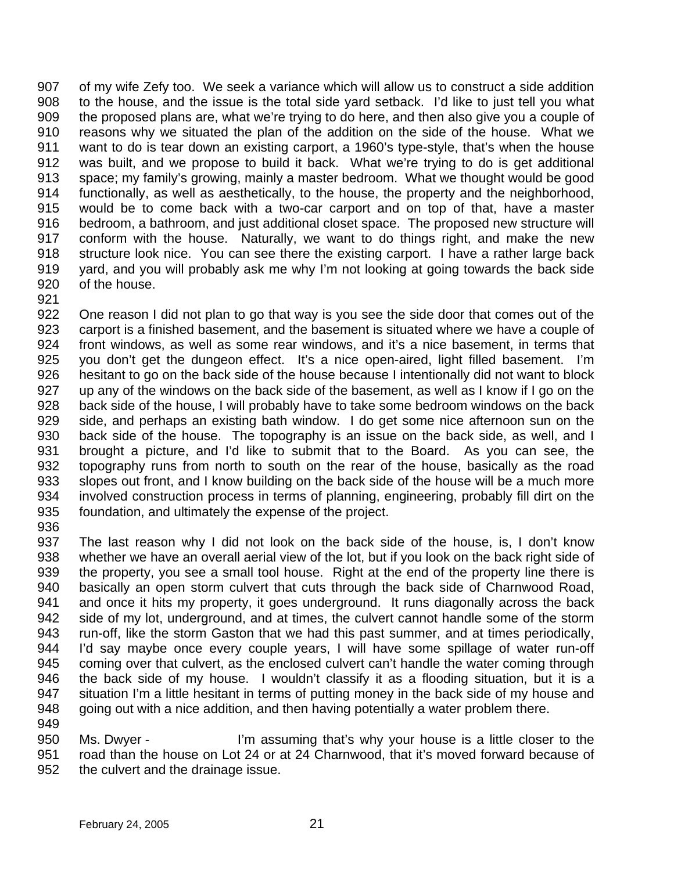907 908 909 910 911 912 913 914 915 916 917 918 919 920 of my wife Zefy too. We seek a variance which will allow us to construct a side addition to the house, and the issue is the total side yard setback. I'd like to just tell you what the proposed plans are, what we're trying to do here, and then also give you a couple of reasons why we situated the plan of the addition on the side of the house. What we want to do is tear down an existing carport, a 1960's type-style, that's when the house was built, and we propose to build it back. What we're trying to do is get additional space; my family's growing, mainly a master bedroom. What we thought would be good functionally, as well as aesthetically, to the house, the property and the neighborhood, would be to come back with a two-car carport and on top of that, have a master bedroom, a bathroom, and just additional closet space. The proposed new structure will conform with the house. Naturally, we want to do things right, and make the new structure look nice. You can see there the existing carport. I have a rather large back yard, and you will probably ask me why I'm not looking at going towards the back side of the house.

921

922 923 924 925 926 927 928 929 930 931 932 933 934 935 One reason I did not plan to go that way is you see the side door that comes out of the carport is a finished basement, and the basement is situated where we have a couple of front windows, as well as some rear windows, and it's a nice basement, in terms that you don't get the dungeon effect. It's a nice open-aired, light filled basement. I'm hesitant to go on the back side of the house because I intentionally did not want to block up any of the windows on the back side of the basement, as well as I know if I go on the back side of the house, I will probably have to take some bedroom windows on the back side, and perhaps an existing bath window. I do get some nice afternoon sun on the back side of the house. The topography is an issue on the back side, as well, and I brought a picture, and I'd like to submit that to the Board. As you can see, the topography runs from north to south on the rear of the house, basically as the road slopes out front, and I know building on the back side of the house will be a much more involved construction process in terms of planning, engineering, probably fill dirt on the foundation, and ultimately the expense of the project.

- 936 937 938 939 940 941 942 943 944 945 946 947 948 949 The last reason why I did not look on the back side of the house, is, I don't know whether we have an overall aerial view of the lot, but if you look on the back right side of the property, you see a small tool house. Right at the end of the property line there is basically an open storm culvert that cuts through the back side of Charnwood Road, and once it hits my property, it goes underground. It runs diagonally across the back side of my lot, underground, and at times, the culvert cannot handle some of the storm run-off, like the storm Gaston that we had this past summer, and at times periodically, I'd say maybe once every couple years, I will have some spillage of water run-off coming over that culvert, as the enclosed culvert can't handle the water coming through the back side of my house. I wouldn't classify it as a flooding situation, but it is a situation I'm a little hesitant in terms of putting money in the back side of my house and going out with a nice addition, and then having potentially a water problem there.
	- 950 951 952 Ms. Dwyer - I'm assuming that's why your house is a little closer to the road than the house on Lot 24 or at 24 Charnwood, that it's moved forward because of the culvert and the drainage issue.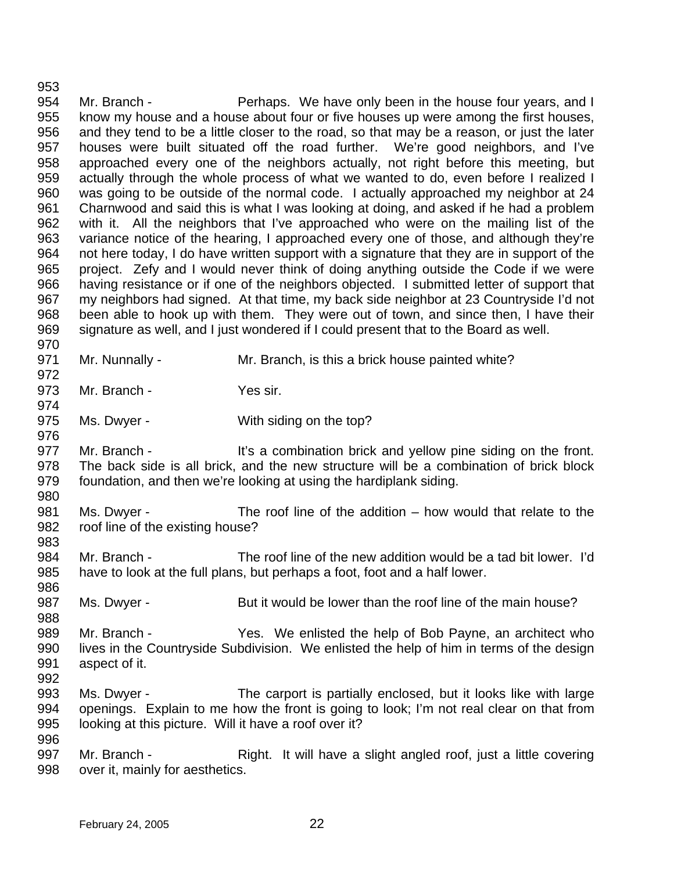953 954 955 956 957 958 959 960 961 962 963 964 965 966 967 968 969 970 971 972 973 974 975 976 977 978 979 980 981 982 983 984 985 986 987 988 989 990 991 992 993 994 995 996 Mr. Branch - Perhaps. We have only been in the house four years, and I know my house and a house about four or five houses up were among the first houses, and they tend to be a little closer to the road, so that may be a reason, or just the later houses were built situated off the road further. We're good neighbors, and I've approached every one of the neighbors actually, not right before this meeting, but actually through the whole process of what we wanted to do, even before I realized I was going to be outside of the normal code. I actually approached my neighbor at 24 Charnwood and said this is what I was looking at doing, and asked if he had a problem with it. All the neighbors that I've approached who were on the mailing list of the variance notice of the hearing, I approached every one of those, and although they're not here today, I do have written support with a signature that they are in support of the project. Zefy and I would never think of doing anything outside the Code if we were having resistance or if one of the neighbors objected. I submitted letter of support that my neighbors had signed. At that time, my back side neighbor at 23 Countryside I'd not been able to hook up with them. They were out of town, and since then, I have their signature as well, and I just wondered if I could present that to the Board as well. Mr. Nunnally - Mr. Branch, is this a brick house painted white? Mr. Branch - Yes sir. Ms. Dwyer - With siding on the top? Mr. Branch - It's a combination brick and yellow pine siding on the front. The back side is all brick, and the new structure will be a combination of brick block foundation, and then we're looking at using the hardiplank siding. Ms. Dwyer - The roof line of the addition – how would that relate to the roof line of the existing house? Mr. Branch - The roof line of the new addition would be a tad bit lower. I'd have to look at the full plans, but perhaps a foot, foot and a half lower. Ms. Dwyer - But it would be lower than the roof line of the main house? Mr. Branch - The Yes. We enlisted the help of Bob Payne, an architect who lives in the Countryside Subdivision. We enlisted the help of him in terms of the design aspect of it. Ms. Dwyer - The carport is partially enclosed, but it looks like with large openings. Explain to me how the front is going to look; I'm not real clear on that from looking at this picture. Will it have a roof over it?

997 998 Mr. Branch - Right. It will have a slight angled roof, just a little covering over it, mainly for aesthetics.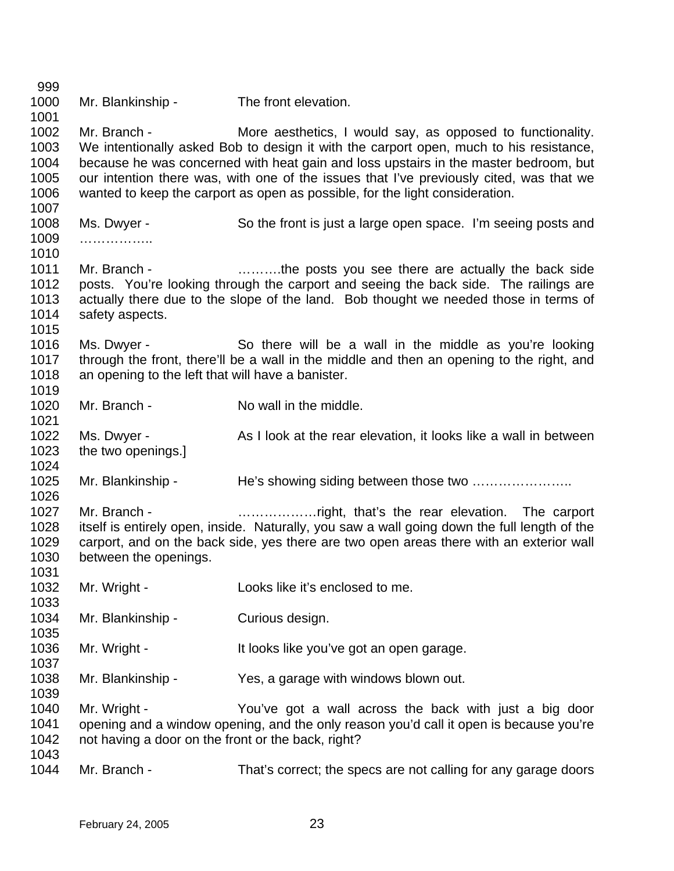999 1000 1001 1002 1003 1004 1005 1006 1007 1008 1009 1010 1011 1012 1013 1014 1015 1016 1017 1018 1019 1020 1021 1022 1023 1024 1025 1026 1027 1028 1029 1030 1031 1032 1033 1034 1035 1036 1037 1038 1039 1040 1041 1042 1043 1044 Mr. Blankinship - The front elevation. Mr. Branch - More aesthetics, I would say, as opposed to functionality. We intentionally asked Bob to design it with the carport open, much to his resistance, because he was concerned with heat gain and loss upstairs in the master bedroom, but our intention there was, with one of the issues that I've previously cited, was that we wanted to keep the carport as open as possible, for the light consideration. Ms. Dwyer - So the front is just a large open space. I'm seeing posts and ……………… Mr. Branch - **Example 20** ……….the posts you see there are actually the back side posts. You're looking through the carport and seeing the back side. The railings are actually there due to the slope of the land. Bob thought we needed those in terms of safety aspects. Ms. Dwyer - So there will be a wall in the middle as you're looking through the front, there'll be a wall in the middle and then an opening to the right, and an opening to the left that will have a banister. Mr. Branch - No wall in the middle. Ms. Dwyer - As I look at the rear elevation, it looks like a wall in between the two openings.] Mr. Blankinship - The's showing siding between those two ....................... Mr. Branch - **Example 20** ......................right, that's the rear elevation. The carport itself is entirely open, inside. Naturally, you saw a wall going down the full length of the carport, and on the back side, yes there are two open areas there with an exterior wall between the openings. Mr. Wright - Looks like it's enclosed to me. Mr. Blankinship - Curious design. Mr. Wright - It looks like you've got an open garage. Mr. Blankinship - Yes, a garage with windows blown out. Mr. Wright - You've got a wall across the back with just a big door opening and a window opening, and the only reason you'd call it open is because you're not having a door on the front or the back, right? Mr. Branch - That's correct; the specs are not calling for any garage doors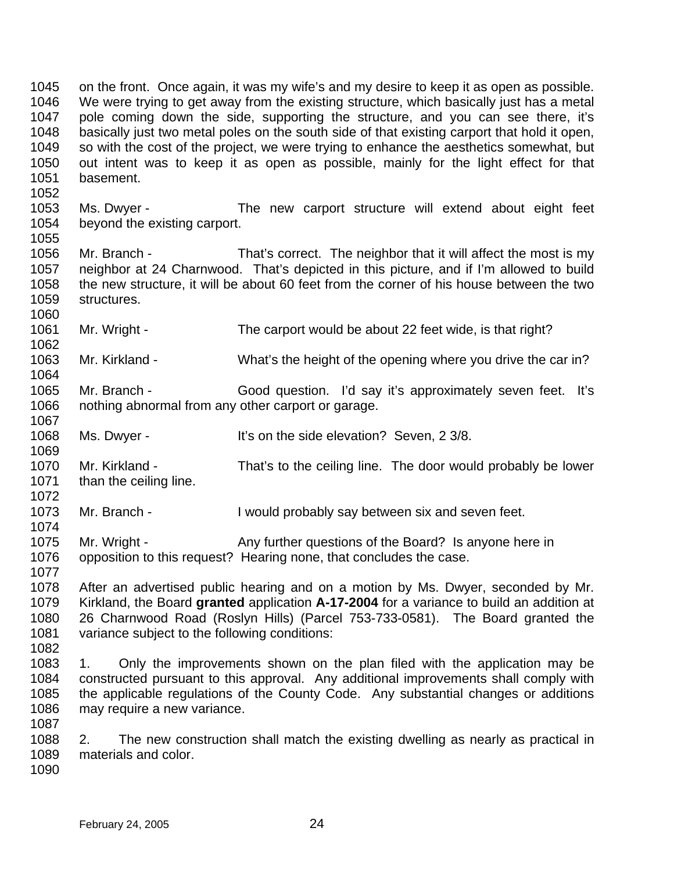1045 1046 1047 1048 1049 1050 1051 1052 1053 1054 1055 1056 1057 1058 1059 1060 1061 1062 1063 1064 1065 1066 1067 1068 1069 1070 1071 1072 1073 1074 1075 1076 1077 1078 1079 1080 1081 1082 1083 1084 1085 1086 1087 1088 1089 1090 on the front. Once again, it was my wife's and my desire to keep it as open as possible. We were trying to get away from the existing structure, which basically just has a metal pole coming down the side, supporting the structure, and you can see there, it's basically just two metal poles on the south side of that existing carport that hold it open, so with the cost of the project, we were trying to enhance the aesthetics somewhat, but out intent was to keep it as open as possible, mainly for the light effect for that basement. Ms. Dwyer - The new carport structure will extend about eight feet beyond the existing carport. Mr. Branch - That's correct. The neighbor that it will affect the most is my neighbor at 24 Charnwood. That's depicted in this picture, and if I'm allowed to build the new structure, it will be about 60 feet from the corner of his house between the two structures. Mr. Wright - The carport would be about 22 feet wide, is that right? Mr. Kirkland - What's the height of the opening where you drive the car in? Mr. Branch - Good question. I'd say it's approximately seven feet. It's nothing abnormal from any other carport or garage. Ms. Dwyer - It's on the side elevation? Seven, 2 3/8. Mr. Kirkland - That's to the ceiling line. The door would probably be lower than the ceiling line. Mr. Branch - Twould probably say between six and seven feet. Mr. Wright - Any further questions of the Board? Is anyone here in opposition to this request? Hearing none, that concludes the case. After an advertised public hearing and on a motion by Ms. Dwyer, seconded by Mr. Kirkland, the Board **granted** application **A-17-2004** for a variance to build an addition at 26 Charnwood Road (Roslyn Hills) (Parcel 753-733-0581). The Board granted the variance subject to the following conditions: 1. Only the improvements shown on the plan filed with the application may be constructed pursuant to this approval. Any additional improvements shall comply with the applicable regulations of the County Code. Any substantial changes or additions may require a new variance. 2. The new construction shall match the existing dwelling as nearly as practical in materials and color.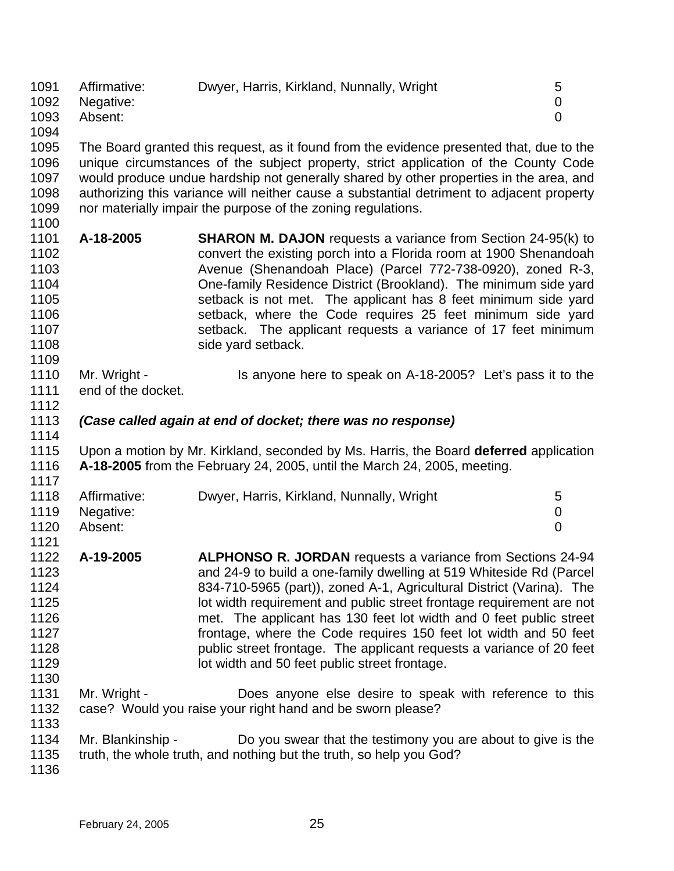| 1091 | Affirmative: | Dwyer, Harris, Kirkland, Nunnally, Wright | 5 |
|------|--------------|-------------------------------------------|---|
| 1092 | Negative:    |                                           |   |
| 1093 | Absent:      |                                           |   |
| 1094 |              |                                           |   |

1095 1096 1097 1098 1099 1100 The Board granted this request, as it found from the evidence presented that, due to the unique circumstances of the subject property, strict application of the County Code would produce undue hardship not generally shared by other properties in the area, and authorizing this variance will neither cause a substantial detriment to adjacent property nor materially impair the purpose of the zoning regulations.

- 1101 1102 1103 1104 1105 1106 1107 1108 **A-18-2005 SHARON M. DAJON** requests a variance from Section 24-95(k) to convert the existing porch into a Florida room at 1900 Shenandoah Avenue (Shenandoah Place) (Parcel 772-738-0920), zoned R-3, One-family Residence District (Brookland). The minimum side yard setback is not met. The applicant has 8 feet minimum side yard setback, where the Code requires 25 feet minimum side yard setback. The applicant requests a variance of 17 feet minimum side yard setback.
- 1110 1111 Mr. Wright - Is anyone here to speak on A-18-2005? Let's pass it to the end of the docket.
- 1113 *(Case called again at end of docket; there was no response)*

1115 1116 1117 Upon a motion by Mr. Kirkland, seconded by Ms. Harris, the Board **deferred** application **A-18-2005** from the February 24, 2005, until the March 24, 2005, meeting.

- 1118 1119 1120 1121 Affirmative: Dwyer, Harris, Kirkland, Nunnally, Wright 5 Negative: 0 Absent: 0
- 1122 1123 1124 1125 1126 1127 1128 1129 1130 **A-19-2005 ALPHONSO R. JORDAN** requests a variance from Sections 24-94 and 24-9 to build a one-family dwelling at 519 Whiteside Rd (Parcel 834-710-5965 (part)), zoned A-1, Agricultural District (Varina). The lot width requirement and public street frontage requirement are not met. The applicant has 130 feet lot width and 0 feet public street frontage, where the Code requires 150 feet lot width and 50 feet public street frontage. The applicant requests a variance of 20 feet lot width and 50 feet public street frontage.
- 1131 1132 Mr. Wright - **Does** anyone else desire to speak with reference to this case? Would you raise your right hand and be sworn please?
- 1134 Mr. Blankinship - Do you swear that the testimony you are about to give is the
- 1135 truth, the whole truth, and nothing but the truth, so help you God?
- 1136

1133

1109

1112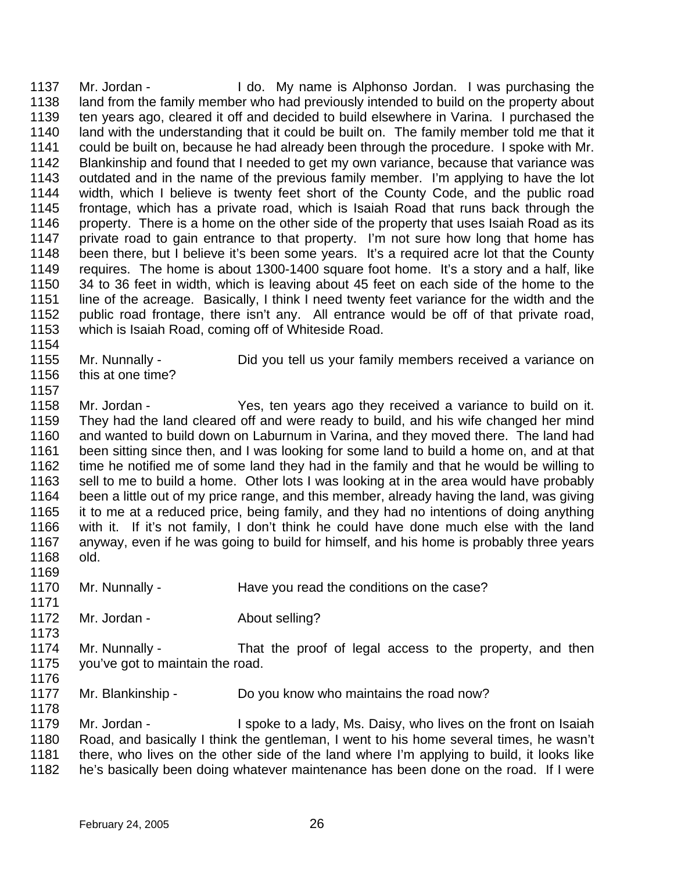1137 1138 1139 1140 1141 1142 1143 1144 1145 1146 1147 1148 1149 1150 1151 1152 1153 Mr. Jordan - I do. My name is Alphonso Jordan. I was purchasing the land from the family member who had previously intended to build on the property about ten years ago, cleared it off and decided to build elsewhere in Varina. I purchased the land with the understanding that it could be built on. The family member told me that it could be built on, because he had already been through the procedure. I spoke with Mr. Blankinship and found that I needed to get my own variance, because that variance was outdated and in the name of the previous family member. I'm applying to have the lot width, which I believe is twenty feet short of the County Code, and the public road frontage, which has a private road, which is Isaiah Road that runs back through the property. There is a home on the other side of the property that uses Isaiah Road as its private road to gain entrance to that property. I'm not sure how long that home has been there, but I believe it's been some years. It's a required acre lot that the County requires. The home is about 1300-1400 square foot home. It's a story and a half, like 34 to 36 feet in width, which is leaving about 45 feet on each side of the home to the line of the acreage. Basically, I think I need twenty feet variance for the width and the public road frontage, there isn't any. All entrance would be off of that private road, which is Isaiah Road, coming off of Whiteside Road.

- 1154
- 1155 Mr. Nunnally - Did you tell us your family members received a variance on
- 1156 this at one time?
- 1157

1158 1159 1160 1161 1162 1163 1164 1165 1166 1167 1168 Mr. Jordan - Yes, ten years ago they received a variance to build on it. They had the land cleared off and were ready to build, and his wife changed her mind and wanted to build down on Laburnum in Varina, and they moved there. The land had been sitting since then, and I was looking for some land to build a home on, and at that time he notified me of some land they had in the family and that he would be willing to sell to me to build a home. Other lots I was looking at in the area would have probably been a little out of my price range, and this member, already having the land, was giving it to me at a reduced price, being family, and they had no intentions of doing anything with it. If it's not family, I don't think he could have done much else with the land anyway, even if he was going to build for himself, and his home is probably three years old.

- 1169
- 1170 1171 Mr. Nunnally - Have you read the conditions on the case?
- 1172 Mr. Jordan - **About selling?**
- 1174 1175 Mr. Nunnally - That the proof of legal access to the property, and then you've got to maintain the road.
- 1176

1173

1177 1178 Mr. Blankinship - Do you know who maintains the road now?

1179 1180 1181 1182 Mr. Jordan - I spoke to a lady, Ms. Daisy, who lives on the front on Isaiah Road, and basically I think the gentleman, I went to his home several times, he wasn't there, who lives on the other side of the land where I'm applying to build, it looks like he's basically been doing whatever maintenance has been done on the road. If I were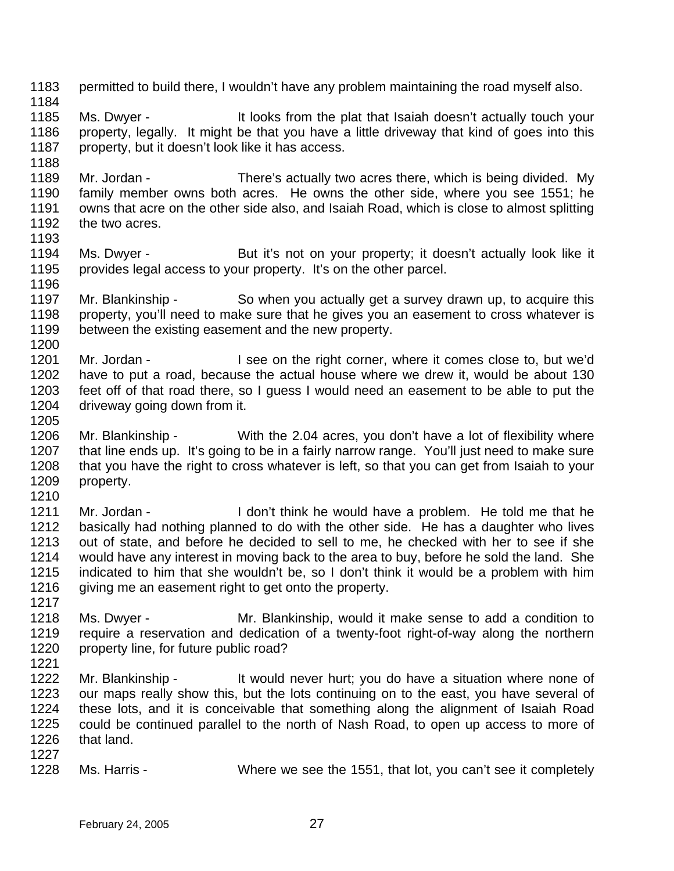1183 1184 1185 1186 1187 1188 1189 1190 1191 1192 1193 1194 1195 1196 1197 1198 1199 1200 1201 1202 1203 1204 1205 1206 1207 1208 1209 1210 1211 1212 1213 1214 1215 1216 1217 1218 1219 1220 1221 1222 1223 1224 1225 1226 1227 1228 permitted to build there, I wouldn't have any problem maintaining the road myself also. Ms. Dwyer - It looks from the plat that Isaiah doesn't actually touch your property, legally. It might be that you have a little driveway that kind of goes into this property, but it doesn't look like it has access. Mr. Jordan - There's actually two acres there, which is being divided. My family member owns both acres. He owns the other side, where you see 1551; he owns that acre on the other side also, and Isaiah Road, which is close to almost splitting the two acres. Ms. Dwyer - But it's not on your property; it doesn't actually look like it provides legal access to your property. It's on the other parcel. Mr. Blankinship - So when you actually get a survey drawn up, to acquire this property, you'll need to make sure that he gives you an easement to cross whatever is between the existing easement and the new property. Mr. Jordan - I see on the right corner, where it comes close to, but we'd have to put a road, because the actual house where we drew it, would be about 130 feet off of that road there, so I guess I would need an easement to be able to put the driveway going down from it. Mr. Blankinship - With the 2.04 acres, you don't have a lot of flexibility where that line ends up. It's going to be in a fairly narrow range. You'll just need to make sure that you have the right to cross whatever is left, so that you can get from Isaiah to your property. Mr. Jordan - I don't think he would have a problem. He told me that he basically had nothing planned to do with the other side. He has a daughter who lives out of state, and before he decided to sell to me, he checked with her to see if she would have any interest in moving back to the area to buy, before he sold the land. She indicated to him that she wouldn't be, so I don't think it would be a problem with him giving me an easement right to get onto the property. Ms. Dwyer - Mr. Blankinship, would it make sense to add a condition to require a reservation and dedication of a twenty-foot right-of-way along the northern property line, for future public road? Mr. Blankinship - It would never hurt; you do have a situation where none of our maps really show this, but the lots continuing on to the east, you have several of these lots, and it is conceivable that something along the alignment of Isaiah Road could be continued parallel to the north of Nash Road, to open up access to more of that land. Ms. Harris - Where we see the 1551, that lot, you can't see it completely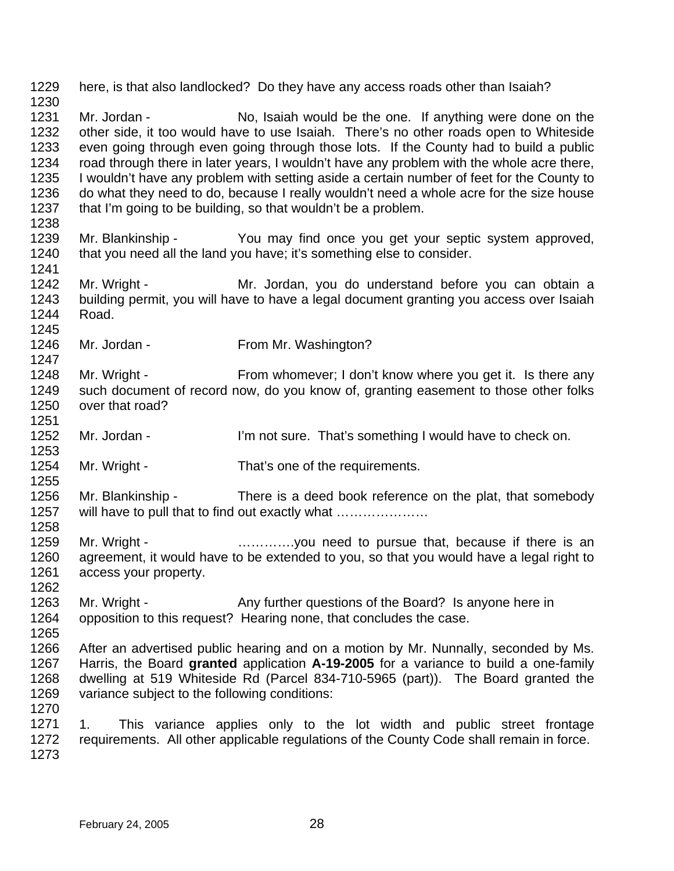1229 1230 1231 1232 1233 1234 1235 1236 1237 1238 1239 1240 1241 1242 1243 1244 1245 1246 1247 1248 1249 1250 1251 1252 1253 1254 1255 1256 1257 1258 1259 1260 1261 1262 1263 1264 1265 1266 1267 1268 1269 1270 1271 1272 1273 here, is that also landlocked? Do they have any access roads other than Isaiah? Mr. Jordan - No, Isaiah would be the one. If anything were done on the other side, it too would have to use Isaiah. There's no other roads open to Whiteside even going through even going through those lots. If the County had to build a public road through there in later years, I wouldn't have any problem with the whole acre there, I wouldn't have any problem with setting aside a certain number of feet for the County to do what they need to do, because I really wouldn't need a whole acre for the size house that I'm going to be building, so that wouldn't be a problem. Mr. Blankinship - You may find once you get your septic system approved, that you need all the land you have; it's something else to consider. Mr. Wright - The Mr. Jordan, you do understand before you can obtain a building permit, you will have to have a legal document granting you access over Isaiah Road. Mr. Jordan - From Mr. Washington? Mr. Wright - From whomever; I don't know where you get it. Is there any such document of record now, do you know of, granting easement to those other folks over that road? Mr. Jordan - I'm not sure. That's something I would have to check on. Mr. Wright - That's one of the requirements. Mr. Blankinship - There is a deed book reference on the plat, that somebody will have to pull that to find out exactly what .................... Mr. Wright - **Example 20** ..............you need to pursue that, because if there is an agreement, it would have to be extended to you, so that you would have a legal right to access your property. Mr. Wright - Any further questions of the Board? Is anyone here in opposition to this request? Hearing none, that concludes the case. After an advertised public hearing and on a motion by Mr. Nunnally, seconded by Ms. Harris, the Board **granted** application **A-19-2005** for a variance to build a one-family dwelling at 519 Whiteside Rd (Parcel 834-710-5965 (part)). The Board granted the variance subject to the following conditions: 1. This variance applies only to the lot width and public street frontage requirements. All other applicable regulations of the County Code shall remain in force.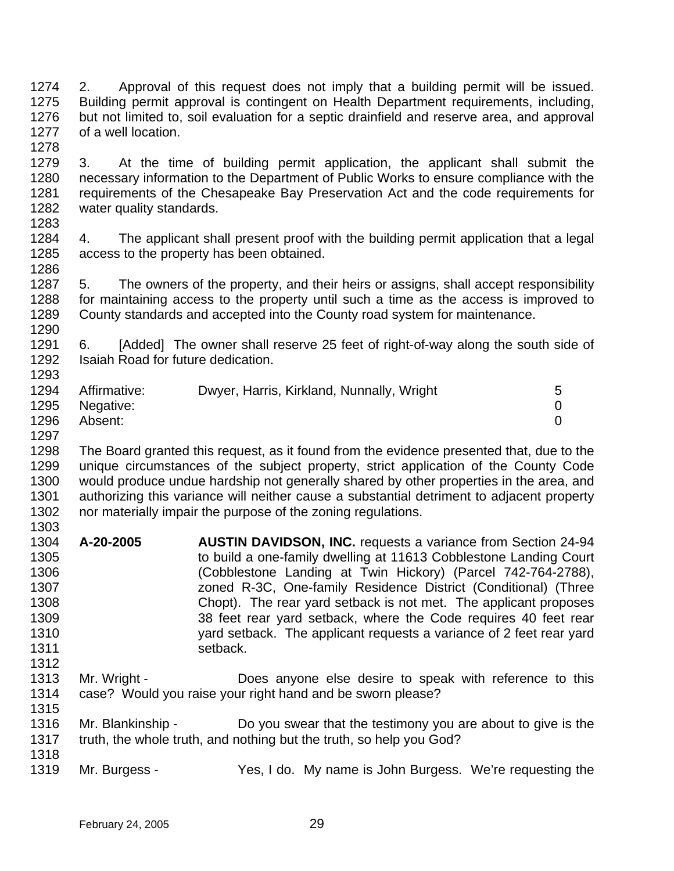1274 1275 1276 1277 1278 2. Approval of this request does not imply that a building permit will be issued. Building permit approval is contingent on Health Department requirements, including, but not limited to, soil evaluation for a septic drainfield and reserve area, and approval of a well location.

- 1279 1280 1281 1282 1283 3. At the time of building permit application, the applicant shall submit the necessary information to the Department of Public Works to ensure compliance with the requirements of the Chesapeake Bay Preservation Act and the code requirements for water quality standards.
- 1284 1285 1286 4. The applicant shall present proof with the building permit application that a legal access to the property has been obtained.

1287 1288 1289 1290 5. The owners of the property, and their heirs or assigns, shall accept responsibility for maintaining access to the property until such a time as the access is improved to County standards and accepted into the County road system for maintenance.

1291 1292 1293 6. [Added] The owner shall reserve 25 feet of right-of-way along the south side of Isaiah Road for future dedication.

| 1294 | Affirmative: | Dwyer, Harris, Kirkland, Nunnally, Wright | 5 |
|------|--------------|-------------------------------------------|---|
| 1295 | Negative:    |                                           |   |
| 1296 | Absent:      |                                           |   |
| 1297 |              |                                           |   |

1298 1299 1300 1301 1302 1303 The Board granted this request, as it found from the evidence presented that, due to the unique circumstances of the subject property, strict application of the County Code would produce undue hardship not generally shared by other properties in the area, and authorizing this variance will neither cause a substantial detriment to adjacent property nor materially impair the purpose of the zoning regulations.

- 1304 1305 1306 1307 1308 1309 1310 1311 1312 **A-20-2005 AUSTIN DAVIDSON, INC.** requests a variance from Section 24-94 to build a one-family dwelling at 11613 Cobblestone Landing Court (Cobblestone Landing at Twin Hickory) (Parcel 742-764-2788), zoned R-3C, One-family Residence District (Conditional) (Three Chopt). The rear yard setback is not met. The applicant proposes 38 feet rear yard setback, where the Code requires 40 feet rear yard setback. The applicant requests a variance of 2 feet rear yard setback.
- 1313 1314 1315 Mr. Wright - **Does anyone else desire to speak with reference to this** case? Would you raise your right hand and be sworn please?
- 1316 1317 1318 Mr. Blankinship - Do you swear that the testimony you are about to give is the truth, the whole truth, and nothing but the truth, so help you God?
- 1319 Mr. Burgess - Yes, I do. My name is John Burgess. We're requesting the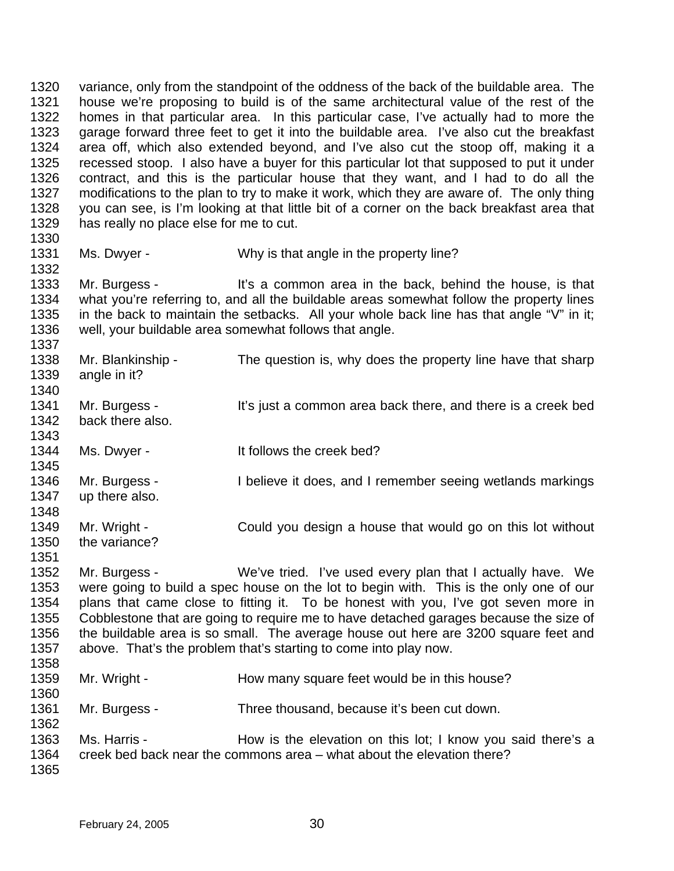1320 1321 1322 1323 1324 1325 1326 1327 1328 1329 1330 variance, only from the standpoint of the oddness of the back of the buildable area. The house we're proposing to build is of the same architectural value of the rest of the homes in that particular area. In this particular case, I've actually had to more the garage forward three feet to get it into the buildable area. I've also cut the breakfast area off, which also extended beyond, and I've also cut the stoop off, making it a recessed stoop. I also have a buyer for this particular lot that supposed to put it under contract, and this is the particular house that they want, and I had to do all the modifications to the plan to try to make it work, which they are aware of. The only thing you can see, is I'm looking at that little bit of a corner on the back breakfast area that has really no place else for me to cut.

1331 Ms. Dwyer - Why is that angle in the property line?

1332

1333 1334 1335 1336 1337 Mr. Burgess - It's a common area in the back, behind the house, is that what you're referring to, and all the buildable areas somewhat follow the property lines in the back to maintain the setbacks. All your whole back line has that angle "V" in it; well, your buildable area somewhat follows that angle.

| 1338<br>1339<br>1340 | Mr. Blankinship -<br>angle in it? | The question is, why does the property line have that sharp  |
|----------------------|-----------------------------------|--------------------------------------------------------------|
| 1341<br>1342         | Mr. Burgess -<br>back there also. | It's just a common area back there, and there is a creek bed |
| 1343                 |                                   |                                                              |
| 1344                 | Ms. Dwyer -                       | It follows the creek bed?                                    |
| 1345                 |                                   |                                                              |
| 1346                 | Mr. Burgess -                     | I believe it does, and I remember seeing wetlands markings   |
| 1347                 | up there also.                    |                                                              |
| 1348                 |                                   |                                                              |
| 1349                 | Mr. Wright -                      | Could you design a house that would go on this lot without   |
| 1350                 | the variance?                     |                                                              |
| 1351                 |                                   |                                                              |
| 1352                 | Mr. Burgess -                     | We've tried. I've used every plan that I actually have. We   |
| $\sim$ $\sim$ $\sim$ |                                   |                                                              |

1353 1354 1355 1356 1357 were going to build a spec house on the lot to begin with. This is the only one of our plans that came close to fitting it. To be honest with you, I've got seven more in Cobblestone that are going to require me to have detached garages because the size of the buildable area is so small. The average house out here are 3200 square feet and above. That's the problem that's starting to come into play now.

- 1358 1359 1360 1361 1362 1363 Mr. Wright - The How many square feet would be in this house? Mr. Burgess - Three thousand, because it's been cut down. Ms. Harris - The How is the elevation on this lot; I know you said there's a
- 1364 1365 creek bed back near the commons area – what about the elevation there?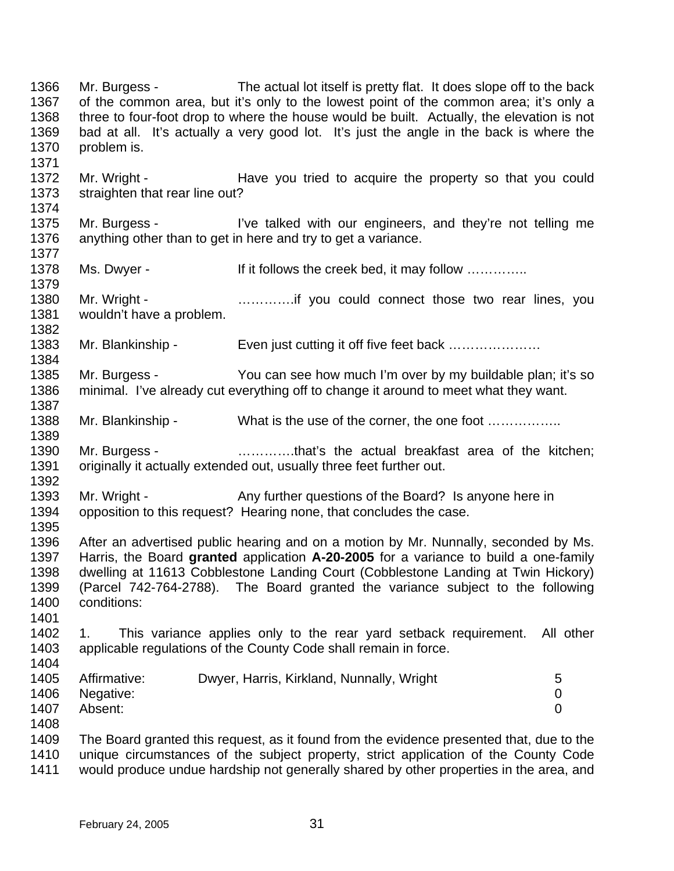1366 1367 1368 1369 1370 1371 1372 1373 1374 1375 1376 1377 1378 1379 1380 1381 1382 1383 1384 1385 1386 1387 1388 1389 1390 1391 1392 1393 1394 1395 1396 1397 1398 1399 1400 1401 1402 1403 1404 1405 1406 1407 1408 1409 1410 1411 Mr. Burgess - The actual lot itself is pretty flat. It does slope off to the back of the common area, but it's only to the lowest point of the common area; it's only a three to four-foot drop to where the house would be built. Actually, the elevation is not bad at all. It's actually a very good lot. It's just the angle in the back is where the problem is. Mr. Wright - The Have you tried to acquire the property so that you could straighten that rear line out? Mr. Burgess - I've talked with our engineers, and they're not telling me anything other than to get in here and try to get a variance. Ms. Dwyer - If it follows the creek bed, it may follow ............... Mr. Wright - **Example 20** ..............if you could connect those two rear lines, you wouldn't have a problem. Mr. Blankinship - Even just cutting it off five feet back ...................... Mr. Burgess - You can see how much I'm over by my buildable plan; it's so minimal. I've already cut everything off to change it around to meet what they want. Mr. Blankinship - What is the use of the corner, the one foot ……………. Mr. Burgess - **Example 20** .............that's the actual breakfast area of the kitchen; originally it actually extended out, usually three feet further out. Mr. Wright - Any further questions of the Board? Is anyone here in opposition to this request? Hearing none, that concludes the case. After an advertised public hearing and on a motion by Mr. Nunnally, seconded by Ms. Harris, the Board **granted** application **A-20-2005** for a variance to build a one-family dwelling at 11613 Cobblestone Landing Court (Cobblestone Landing at Twin Hickory) (Parcel 742-764-2788). The Board granted the variance subject to the following conditions: 1. This variance applies only to the rear yard setback requirement. All other applicable regulations of the County Code shall remain in force. Affirmative: Dwyer, Harris, Kirkland, Nunnally, Wright 5 Negative: 0 Absent: 0 The Board granted this request, as it found from the evidence presented that, due to the unique circumstances of the subject property, strict application of the County Code would produce undue hardship not generally shared by other properties in the area, and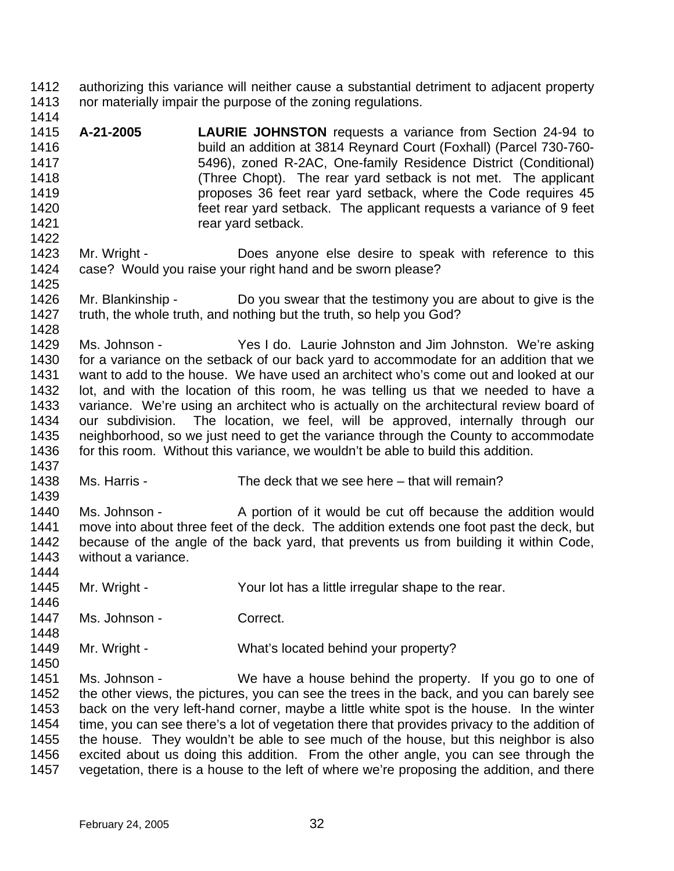- 1412 1413 authorizing this variance will neither cause a substantial detriment to adjacent property nor materially impair the purpose of the zoning regulations.
- 1415 1416 1417 1418 1419 1420 1421 **A-21-2005 LAURIE JOHNSTON** requests a variance from Section 24-94 to build an addition at 3814 Reynard Court (Foxhall) (Parcel 730-760- 5496), zoned R-2AC, One-family Residence District (Conditional) (Three Chopt). The rear yard setback is not met. The applicant proposes 36 feet rear yard setback, where the Code requires 45 feet rear yard setback. The applicant requests a variance of 9 feet rear yard setback.
- 1423 1424 1425 Mr. Wright - **Does anyone else desire to speak with reference to this** case? Would you raise your right hand and be sworn please?
- 1426 1427 Mr. Blankinship - Do you swear that the testimony you are about to give is the truth, the whole truth, and nothing but the truth, so help you God?
- 1429 1430 1431 1432 1433 1434 1435 1436 1437 Ms. Johnson - Yes I do. Laurie Johnston and Jim Johnston. We're asking for a variance on the setback of our back yard to accommodate for an addition that we want to add to the house. We have used an architect who's come out and looked at our lot, and with the location of this room, he was telling us that we needed to have a variance. We're using an architect who is actually on the architectural review board of our subdivision. The location, we feel, will be approved, internally through our neighborhood, so we just need to get the variance through the County to accommodate for this room. Without this variance, we wouldn't be able to build this addition.
- 1438 Ms. Harris - The deck that we see here – that will remain?
- 1439 1440 1441 1442 1443 1444 Ms. Johnson - A portion of it would be cut off because the addition would move into about three feet of the deck. The addition extends one foot past the deck, but because of the angle of the back yard, that prevents us from building it within Code, without a variance.
- 1445 1446 Mr. Wright - Your lot has a little irregular shape to the rear.
- 1447 Ms. Johnson - Correct.

1414

1422

1428

1448

- 1449 Mr. Wright - What's located behind your property?
- 1451 1452 1453 1454 1455 1456 1457 Ms. Johnson - We have a house behind the property. If you go to one of the other views, the pictures, you can see the trees in the back, and you can barely see back on the very left-hand corner, maybe a little white spot is the house. In the winter time, you can see there's a lot of vegetation there that provides privacy to the addition of the house. They wouldn't be able to see much of the house, but this neighbor is also excited about us doing this addition. From the other angle, you can see through the vegetation, there is a house to the left of where we're proposing the addition, and there